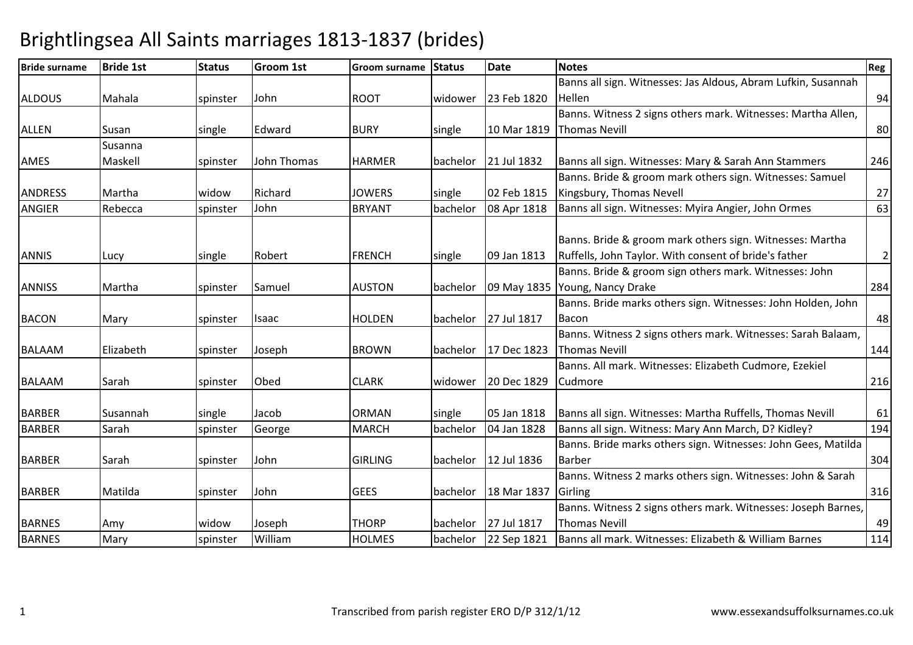| <b>Bride surname</b> | <b>Bride 1st</b> | <b>Status</b> | Groom 1st   | <b>Groom surname</b> | <b>Status</b> | <b>Date</b> | <b>Notes</b>                                                  | Reg            |
|----------------------|------------------|---------------|-------------|----------------------|---------------|-------------|---------------------------------------------------------------|----------------|
|                      |                  |               |             |                      |               |             | Banns all sign. Witnesses: Jas Aldous, Abram Lufkin, Susannah |                |
| <b>ALDOUS</b>        | Mahala           | spinster      | John        | <b>ROOT</b>          | widower       | 23 Feb 1820 | Hellen                                                        | 94             |
|                      |                  |               |             |                      |               |             | Banns. Witness 2 signs others mark. Witnesses: Martha Allen,  |                |
| <b>ALLEN</b>         | Susan            | single        | Edward      | <b>BURY</b>          | single        |             | 10 Mar 1819 Thomas Nevill                                     | 80             |
|                      | Susanna          |               |             |                      |               |             |                                                               |                |
| AMES                 | Maskell          | spinster      | John Thomas | <b>HARMER</b>        | bachelor      | 21 Jul 1832 | Banns all sign. Witnesses: Mary & Sarah Ann Stammers          | 246            |
|                      |                  |               |             |                      |               |             | Banns. Bride & groom mark others sign. Witnesses: Samuel      |                |
| <b>ANDRESS</b>       | Martha           | widow         | Richard     | <b>JOWERS</b>        | single        | 02 Feb 1815 | Kingsbury, Thomas Nevell                                      | 27             |
| <b>ANGIER</b>        | Rebecca          | spinster      | John        | <b>BRYANT</b>        | bachelor      | 08 Apr 1818 | Banns all sign. Witnesses: Myira Angier, John Ormes           | 63             |
|                      |                  |               |             |                      |               |             |                                                               |                |
|                      |                  |               |             |                      |               |             | Banns. Bride & groom mark others sign. Witnesses: Martha      |                |
| <b>ANNIS</b>         | Lucy             | single        | Robert      | <b>FRENCH</b>        | single        | 09 Jan 1813 | Ruffells, John Taylor. With consent of bride's father         | $\overline{2}$ |
|                      |                  |               |             |                      |               |             | Banns. Bride & groom sign others mark. Witnesses: John        |                |
| <b>ANNISS</b>        | Martha           | spinster      | Samuel      | <b>AUSTON</b>        | bachelor      |             | 09 May 1835 Young, Nancy Drake                                | 284            |
|                      |                  |               |             |                      |               |             | Banns. Bride marks others sign. Witnesses: John Holden, John  |                |
| <b>BACON</b>         | Mary             | spinster      | Isaac       | <b>HOLDEN</b>        | bachelor      | 27 Jul 1817 | Bacon                                                         | 48             |
|                      |                  |               |             |                      |               |             | Banns. Witness 2 signs others mark. Witnesses: Sarah Balaam,  |                |
| <b>BALAAM</b>        | Elizabeth        | spinster      | Joseph      | <b>BROWN</b>         | bachelor      | 17 Dec 1823 | <b>Thomas Nevill</b>                                          | 144            |
|                      |                  |               |             |                      |               |             | Banns. All mark. Witnesses: Elizabeth Cudmore, Ezekiel        |                |
| <b>BALAAM</b>        | Sarah            | spinster      | Obed        | <b>CLARK</b>         | widower       | 20 Dec 1829 | Cudmore                                                       | 216            |
|                      |                  |               |             |                      |               |             |                                                               |                |
| <b>BARBER</b>        | Susannah         | single        | Jacob       | <b>ORMAN</b>         | single        | 05 Jan 1818 | Banns all sign. Witnesses: Martha Ruffells, Thomas Nevill     | 61             |
| <b>BARBER</b>        | Sarah            | spinster      | George      | <b>MARCH</b>         | bachelor      | 04 Jan 1828 | Banns all sign. Witness: Mary Ann March, D? Kidley?           | 194            |
|                      |                  |               |             |                      |               |             | Banns. Bride marks others sign. Witnesses: John Gees, Matilda |                |
| <b>BARBER</b>        | Sarah            | spinster      | John        | <b>GIRLING</b>       | bachelor      | 12 Jul 1836 | <b>Barber</b>                                                 | 304            |
|                      |                  |               |             |                      |               |             | Banns. Witness 2 marks others sign. Witnesses: John & Sarah   |                |
| <b>BARBER</b>        | Matilda          | spinster      | John        | <b>GEES</b>          | bachelor      | 18 Mar 1837 | Girling                                                       | 316            |
|                      |                  |               |             |                      |               |             | Banns. Witness 2 signs others mark. Witnesses: Joseph Barnes, |                |
| <b>BARNES</b>        | Amy              | widow         | Joseph      | <b>THORP</b>         | bachelor      | 27 Jul 1817 | <b>Thomas Nevill</b>                                          | 49             |
| <b>BARNES</b>        | Mary             | spinster      | William     | <b>HOLMES</b>        | bachelor      | 22 Sep 1821 | Banns all mark. Witnesses: Elizabeth & William Barnes         | 114            |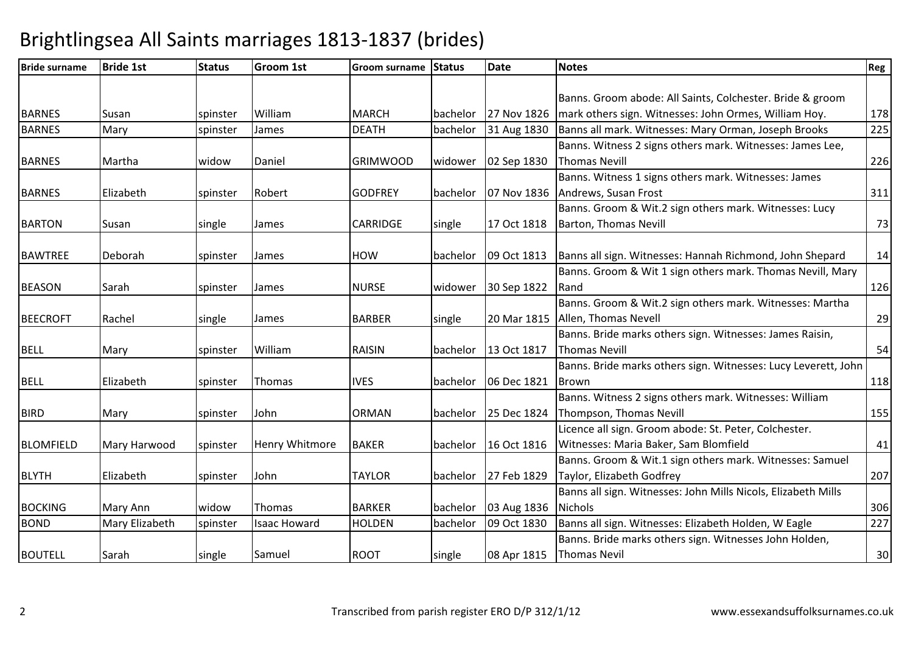| <b>Bride surname</b> | <b>Bride 1st</b> | <b>Status</b> | <b>Groom 1st</b>    | <b>Groom surname</b> | <b>Status</b> | <b>Date</b> | <b>Notes</b>                                                   | Reg |
|----------------------|------------------|---------------|---------------------|----------------------|---------------|-------------|----------------------------------------------------------------|-----|
|                      |                  |               |                     |                      |               |             |                                                                |     |
|                      |                  |               |                     |                      |               |             | Banns. Groom abode: All Saints, Colchester. Bride & groom      |     |
| <b>BARNES</b>        | Susan            | spinster      | William             | <b>MARCH</b>         | bachelor      | 27 Nov 1826 | mark others sign. Witnesses: John Ormes, William Hoy.          | 178 |
| <b>BARNES</b>        | Mary             | spinster      | James               | <b>DEATH</b>         | bachelor      | 31 Aug 1830 | Banns all mark. Witnesses: Mary Orman, Joseph Brooks           | 225 |
|                      |                  |               |                     |                      |               |             | Banns. Witness 2 signs others mark. Witnesses: James Lee,      |     |
| <b>BARNES</b>        | Martha           | widow         | Daniel              | <b>GRIMWOOD</b>      | widower       | 02 Sep 1830 | <b>Thomas Nevill</b>                                           | 226 |
|                      |                  |               |                     |                      |               |             | Banns. Witness 1 signs others mark. Witnesses: James           |     |
| <b>BARNES</b>        | Elizabeth        | spinster      | Robert              | <b>GODFREY</b>       | bachelor      |             | 07 Nov 1836 Andrews, Susan Frost                               | 311 |
|                      |                  |               |                     |                      |               |             | Banns. Groom & Wit.2 sign others mark. Witnesses: Lucy         |     |
| <b>BARTON</b>        | Susan            | single        | James               | <b>CARRIDGE</b>      | single        | 17 Oct 1818 | Barton, Thomas Nevill                                          | 73  |
|                      |                  |               |                     |                      |               |             |                                                                |     |
| <b>BAWTREE</b>       | Deborah          | spinster      | James               | <b>HOW</b>           | bachelor      | 09 Oct 1813 | Banns all sign. Witnesses: Hannah Richmond, John Shepard       | 14  |
|                      |                  |               |                     |                      |               |             | Banns. Groom & Wit 1 sign others mark. Thomas Nevill, Mary     |     |
| <b>BEASON</b>        | Sarah            | spinster      | James               | <b>NURSE</b>         | widower       | 30 Sep 1822 | Rand                                                           | 126 |
|                      |                  |               |                     |                      |               |             | Banns. Groom & Wit.2 sign others mark. Witnesses: Martha       |     |
| <b>BEECROFT</b>      | Rachel           | single        | James               | <b>BARBER</b>        | single        | 20 Mar 1815 | Allen, Thomas Nevell                                           | 29  |
|                      |                  |               |                     |                      |               |             | Banns. Bride marks others sign. Witnesses: James Raisin,       |     |
| <b>BELL</b>          | Mary             | spinster      | William             | <b>RAISIN</b>        | bachelor      | 13 Oct 1817 | <b>Thomas Nevill</b>                                           | 54  |
|                      |                  |               |                     |                      |               |             | Banns. Bride marks others sign. Witnesses: Lucy Leverett, John |     |
| <b>BELL</b>          | Elizabeth        | spinster      | Thomas              | <b>IVES</b>          | bachelor      | 06 Dec 1821 | Brown                                                          | 118 |
|                      |                  |               |                     |                      |               |             | Banns. Witness 2 signs others mark. Witnesses: William         |     |
| <b>BIRD</b>          | Mary             | spinster      | John                | <b>ORMAN</b>         | bachelor      | 25 Dec 1824 | Thompson, Thomas Nevill                                        | 155 |
|                      |                  |               |                     |                      |               |             | Licence all sign. Groom abode: St. Peter, Colchester.          |     |
| <b>BLOMFIELD</b>     | Mary Harwood     | spinster      | Henry Whitmore      | <b>BAKER</b>         | bachelor      | 16 Oct 1816 | Witnesses: Maria Baker, Sam Blomfield                          | 41  |
|                      |                  |               |                     |                      |               |             | Banns. Groom & Wit.1 sign others mark. Witnesses: Samuel       |     |
| <b>BLYTH</b>         | Elizabeth        | spinster      | John                | <b>TAYLOR</b>        | bachelor      | 27 Feb 1829 | Taylor, Elizabeth Godfrey                                      | 207 |
|                      |                  |               |                     |                      |               |             | Banns all sign. Witnesses: John Mills Nicols, Elizabeth Mills  |     |
| <b>BOCKING</b>       | Mary Ann         | widow         | Thomas              | <b>BARKER</b>        | bachelor      | 03 Aug 1836 | <b>Nichols</b>                                                 | 306 |
| <b>BOND</b>          | Mary Elizabeth   | spinster      | <b>Isaac Howard</b> | <b>HOLDEN</b>        | bachelor      | 09 Oct 1830 | Banns all sign. Witnesses: Elizabeth Holden, W Eagle           | 227 |
|                      |                  |               |                     |                      |               |             | Banns. Bride marks others sign. Witnesses John Holden,         |     |
| <b>BOUTELL</b>       | Sarah            | single        | Samuel              | <b>ROOT</b>          | single        | 08 Apr 1815 | <b>Thomas Nevil</b>                                            | 30  |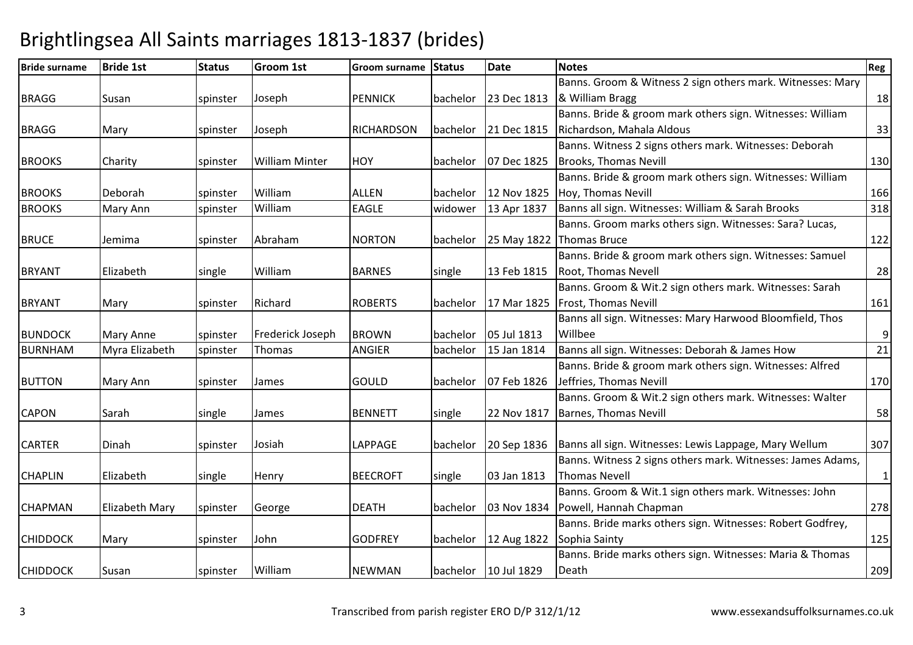| <b>Bride surname</b> | <b>Bride 1st</b>      | <b>Status</b> | <b>Groom 1st</b>      | <b>Groom surname</b> | Status   | <b>Date</b> | Notes                                                               | Reg              |
|----------------------|-----------------------|---------------|-----------------------|----------------------|----------|-------------|---------------------------------------------------------------------|------------------|
|                      |                       |               |                       |                      |          |             | Banns. Groom & Witness 2 sign others mark. Witnesses: Mary          |                  |
| <b>BRAGG</b>         | Susan                 | spinster      | Joseph                | <b>PENNICK</b>       | bachelor |             | 23 Dec 1813  & William Bragg                                        | 18               |
|                      |                       |               |                       |                      |          |             | Banns. Bride & groom mark others sign. Witnesses: William           |                  |
| <b>BRAGG</b>         | Mary                  | spinster      | Joseph                | <b>RICHARDSON</b>    | bachelor | 21 Dec 1815 | Richardson, Mahala Aldous                                           | 33               |
|                      |                       |               |                       |                      |          |             | Banns. Witness 2 signs others mark. Witnesses: Deborah              |                  |
| <b>BROOKS</b>        | Charity               | spinster      | <b>William Minter</b> | HOY                  | bachelor | 07 Dec 1825 | Brooks, Thomas Nevill                                               | 130              |
|                      |                       |               |                       |                      |          |             | Banns. Bride & groom mark others sign. Witnesses: William           |                  |
| <b>BROOKS</b>        | Deborah               | spinster      | William               | <b>ALLEN</b>         | bachelor | 12 Nov 1825 | Hoy, Thomas Nevill                                                  | 166              |
| <b>BROOKS</b>        | Mary Ann              | spinster      | William               | <b>EAGLE</b>         | widower  | 13 Apr 1837 | Banns all sign. Witnesses: William & Sarah Brooks                   | 318              |
|                      |                       |               |                       |                      |          |             | Banns. Groom marks others sign. Witnesses: Sara? Lucas,             |                  |
| <b>BRUCE</b>         | Jemima                | spinster      | Abraham               | <b>NORTON</b>        | bachelor | 25 May 1822 | <b>Thomas Bruce</b>                                                 | 122              |
|                      |                       |               |                       |                      |          |             | Banns. Bride & groom mark others sign. Witnesses: Samuel            |                  |
| <b>BRYANT</b>        | Elizabeth             | single        | William               | <b>BARNES</b>        | single   | 13 Feb 1815 | Root, Thomas Nevell                                                 | 28               |
|                      |                       |               |                       |                      |          |             | Banns. Groom & Wit.2 sign others mark. Witnesses: Sarah             |                  |
| <b>BRYANT</b>        | Mary                  | spinster      | Richard               | <b>ROBERTS</b>       | bachelor | 17 Mar 1825 | <b>Frost, Thomas Nevill</b>                                         | 161              |
|                      |                       |               |                       |                      |          |             | Banns all sign. Witnesses: Mary Harwood Bloomfield, Thos            |                  |
| <b>BUNDOCK</b>       | <b>Mary Anne</b>      | spinster      | Frederick Joseph      | <b>BROWN</b>         | bachelor | 05 Jul 1813 | Willbee                                                             | $\boldsymbol{9}$ |
| <b>BURNHAM</b>       | Myra Elizabeth        | spinster      | Thomas                | <b>ANGIER</b>        | bachelor | 15 Jan 1814 | Banns all sign. Witnesses: Deborah & James How                      | 21               |
|                      |                       |               |                       |                      |          |             | Banns. Bride & groom mark others sign. Witnesses: Alfred            |                  |
| <b>BUTTON</b>        | Mary Ann              | spinster      | James                 | GOULD                | bachelor | 07 Feb 1826 | Jeffries, Thomas Nevill                                             | 170              |
|                      |                       |               |                       |                      |          |             | Banns. Groom & Wit.2 sign others mark. Witnesses: Walter            |                  |
| <b>CAPON</b>         | Sarah                 | single        | James                 | <b>BENNETT</b>       | single   | 22 Nov 1817 | Barnes, Thomas Nevill                                               | 58               |
|                      |                       |               |                       |                      |          |             |                                                                     |                  |
| <b>CARTER</b>        | Dinah                 | spinster      | Josiah                | <b>LAPPAGE</b>       | bachelor |             | 20 Sep 1836   Banns all sign. Witnesses: Lewis Lappage, Mary Wellum | 307              |
|                      |                       |               |                       |                      |          |             | Banns. Witness 2 signs others mark. Witnesses: James Adams,         |                  |
| <b>CHAPLIN</b>       | Elizabeth             | single        | Henry                 | <b>BEECROFT</b>      | single   | 03 Jan 1813 | <b>Thomas Nevell</b>                                                | $\mathbf{1}$     |
|                      |                       |               |                       |                      |          |             | Banns. Groom & Wit.1 sign others mark. Witnesses: John              |                  |
| <b>CHAPMAN</b>       | <b>Elizabeth Mary</b> | spinster      | George                | <b>DEATH</b>         | bachelor | 03 Nov 1834 | Powell, Hannah Chapman                                              | 278              |
|                      |                       |               |                       |                      |          |             | Banns. Bride marks others sign. Witnesses: Robert Godfrey,          |                  |
| <b>CHIDDOCK</b>      | Mary                  | spinster      | John                  | <b>GODFREY</b>       | bachelor | 12 Aug 1822 | Sophia Sainty                                                       | 125              |
|                      |                       |               |                       |                      |          |             | Banns. Bride marks others sign. Witnesses: Maria & Thomas           |                  |
| <b>CHIDDOCK</b>      | Susan                 | spinster      | William               | <b>NEWMAN</b>        | bachelor | 10 Jul 1829 | Death                                                               | 209              |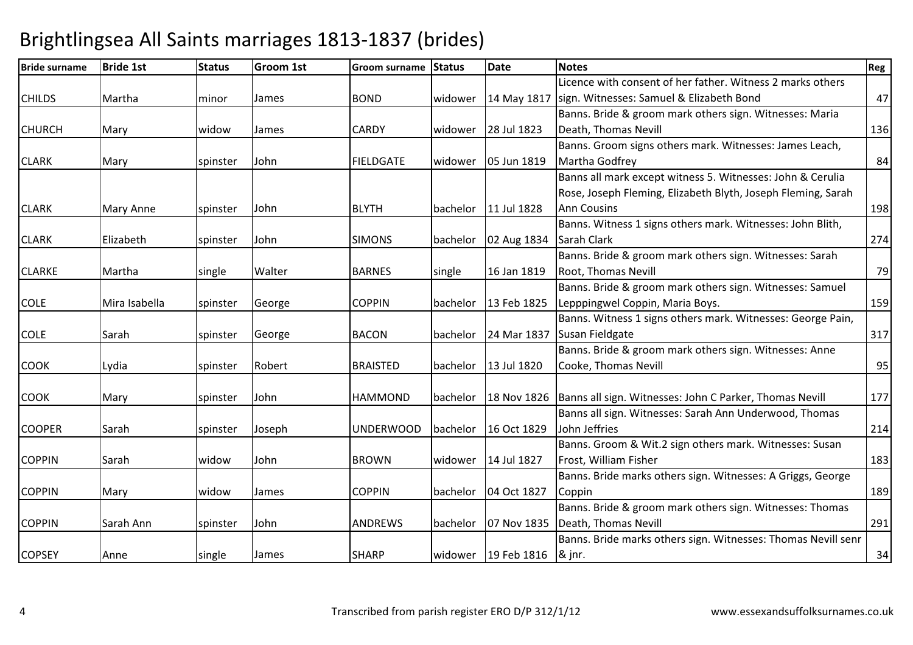| <b>Bride surname</b> | <b>Bride 1st</b> | <b>Status</b> | <b>Groom 1st</b> | <b>Groom surname</b> | <b>Status</b> | <b>Date</b>                      | <b>Notes</b>                                                          | Reg |
|----------------------|------------------|---------------|------------------|----------------------|---------------|----------------------------------|-----------------------------------------------------------------------|-----|
|                      |                  |               |                  |                      |               |                                  | Licence with consent of her father. Witness 2 marks others            |     |
| <b>CHILDS</b>        | Martha           | minor         | James            | <b>BOND</b>          | widower       |                                  | 14 May 1817   sign. Witnesses: Samuel & Elizabeth Bond                | 47  |
|                      |                  |               |                  |                      |               |                                  | Banns. Bride & groom mark others sign. Witnesses: Maria               |     |
| <b>CHURCH</b>        | Mary             | widow         | James            | <b>CARDY</b>         | widower       | 28 Jul 1823                      | Death, Thomas Nevill                                                  | 136 |
|                      |                  |               |                  |                      |               |                                  | Banns. Groom signs others mark. Witnesses: James Leach,               |     |
| <b>CLARK</b>         | Mary             | spinster      | John             | <b>FIELDGATE</b>     | widower       | 05 Jun 1819                      | Martha Godfrey                                                        | 84  |
|                      |                  |               |                  |                      |               |                                  | Banns all mark except witness 5. Witnesses: John & Cerulia            |     |
|                      |                  |               |                  |                      |               |                                  | Rose, Joseph Fleming, Elizabeth Blyth, Joseph Fleming, Sarah          |     |
| <b>CLARK</b>         | <b>Mary Anne</b> | spinster      | John             | <b>BLYTH</b>         | bachelor      | 11 Jul 1828                      | <b>Ann Cousins</b>                                                    | 198 |
|                      |                  |               |                  |                      |               |                                  | Banns. Witness 1 signs others mark. Witnesses: John Blith,            |     |
| <b>CLARK</b>         | Elizabeth        | spinster      | John             | <b>SIMONS</b>        | bachelor      | 02 Aug 1834                      | Sarah Clark                                                           | 274 |
|                      |                  |               |                  |                      |               |                                  | Banns. Bride & groom mark others sign. Witnesses: Sarah               |     |
| <b>CLARKE</b>        | Martha           | single        | Walter           | <b>BARNES</b>        | single        | 16 Jan 1819                      | <b>Root, Thomas Nevill</b>                                            | 79  |
|                      |                  |               |                  |                      |               |                                  | Banns. Bride & groom mark others sign. Witnesses: Samuel              |     |
| <b>COLE</b>          | Mira Isabella    | spinster      | George           | <b>COPPIN</b>        | bachelor      | 13 Feb 1825                      | Lepppingwel Coppin, Maria Boys.                                       | 159 |
|                      |                  |               |                  |                      |               |                                  | Banns. Witness 1 signs others mark. Witnesses: George Pain,           |     |
| <b>COLE</b>          | Sarah            | spinster      | George           | <b>BACON</b>         | bachelor      | 24 Mar 1837                      | Susan Fieldgate                                                       | 317 |
|                      |                  |               |                  |                      |               |                                  | Banns. Bride & groom mark others sign. Witnesses: Anne                |     |
| <b>COOK</b>          | Lydia            | spinster      | Robert           | <b>BRAISTED</b>      | bachelor      | 13 Jul 1820                      | Cooke, Thomas Nevill                                                  | 95  |
|                      |                  |               |                  |                      |               |                                  |                                                                       |     |
| <b>COOK</b>          | Mary             | spinster      | John             | <b>HAMMOND</b>       | bachelor      |                                  | 18 Nov 1826   Banns all sign. Witnesses: John C Parker, Thomas Nevill | 177 |
|                      |                  |               |                  |                      |               |                                  | Banns all sign. Witnesses: Sarah Ann Underwood, Thomas                |     |
| <b>COOPER</b>        | Sarah            | spinster      | Joseph           | <b>UNDERWOOD</b>     | bachelor      | 16 Oct 1829                      | John Jeffries                                                         | 214 |
|                      |                  |               |                  |                      |               |                                  | Banns. Groom & Wit.2 sign others mark. Witnesses: Susan               |     |
| <b>COPPIN</b>        | Sarah            | widow         | John             | <b>BROWN</b>         | widower       | 14 Jul 1827                      | Frost, William Fisher                                                 | 183 |
|                      |                  |               |                  |                      |               |                                  | Banns. Bride marks others sign. Witnesses: A Griggs, George           |     |
| <b>COPPIN</b>        | Mary             | widow         | James            | <b>COPPIN</b>        | bachelor      | 04 Oct 1827                      | Coppin                                                                | 189 |
|                      |                  |               |                  |                      |               |                                  | Banns. Bride & groom mark others sign. Witnesses: Thomas              |     |
| <b>COPPIN</b>        | Sarah Ann        | spinster      | John             | <b>ANDREWS</b>       | bachelor      | 07 Nov 1835                      | Death, Thomas Nevill                                                  | 291 |
|                      |                  |               |                  |                      |               |                                  | Banns. Bride marks others sign. Witnesses: Thomas Nevill senr         |     |
| <b>COPSEY</b>        | Anne             | single        | James            | <b>SHARP</b>         |               | widower   $19$ Feb 1816   & jnr. |                                                                       | 34  |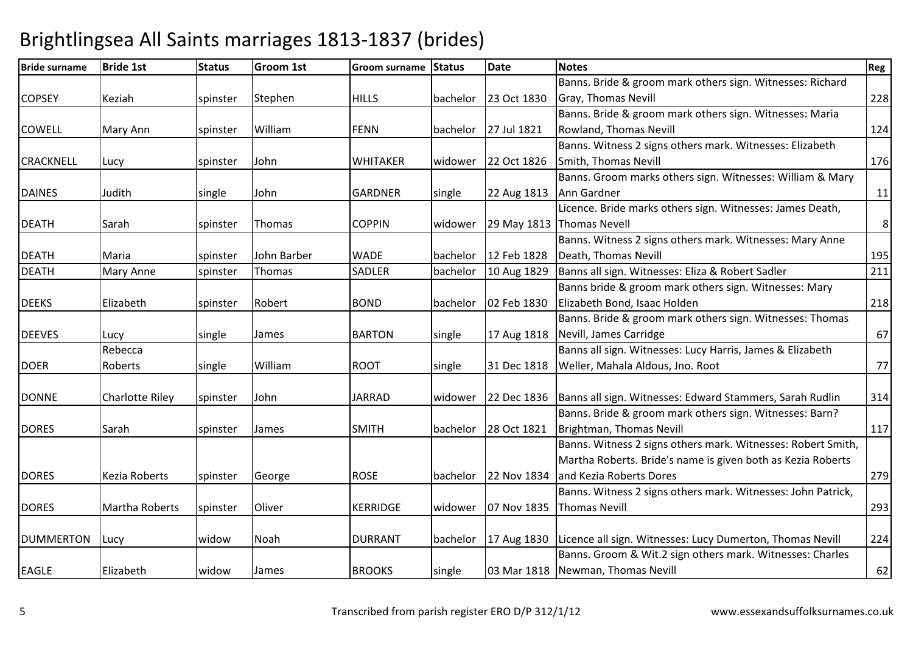### Bride surname Bride 1st Status Groom 1st Groom surname Status Datee Notes Reg COPSEY Keziah spinster StephenHILLS | bachelor | 23 Oct 1830 Banns. Bride & groom mark others sign. Witnesses: Richard Gray, Thomas Nevill 228COWELL Mary Ann Spinster WilliamFENN | bachelor | 27 Jul 1821 Banns. Bride & groom mark others sign. Witnesses: Maria Rowland, Thomas Nevill 124CRACKNELL Lucy spinster JohnWHITAKER Widower 22 Oct 1826 Banns. Witness 2 signs others mark. Witnesses: Elizabeth **Smith, Thomas Nevill 176** DAINES Judith single JohnGARDNER single 22 Aug 1813 Banns. Groom marks others sign. Witnesses: William & Mary Ann Gardnerr 11 DEATH Sarah Ispinster Thomas COPPIN widower 29 May 1813Thomas NevellLicence. Bride marks others sign. Witnesses: James Death, 8DEATH Maria Spinster John Barber WADE bachelor 12 Feb 182810 Aug 1829 Banns. Witness 2 signs others mark. Witnesses: Mary Anne Death, Thomas Nevill195 | 195  $\overline{211}$ DEATHMary Anne Spinster Thomas SADLER bachelor 10 Aug 1829 Banns all sign. Witnesses: Eliza & Robert Sadler 10 Aug DEEKS Elizabeth spinster Robert BOND bachelor 02 Feb 1830Banns bride & groom mark others sign. Witnesses: Mary Elizabeth Bond, Isaac Holdenn 218 DEEVES Lucy single e James BARTON single 17 Aug 1818 Nevill, James Carridge Banns. Bride & groom mark others sign. Witnesses: Thomas e 67 DOERRebecca Roberts single William $ROOT$  single  $31$  Dec 1818 Banns all sign. Witnesses: Lucy Harris, James & Elizabeth Weller, Mahala Aldous, Jno. Roott 77 DONNE Charlotte Riley Spinster JohnJARRAD Widower 22 Dec 1836 Banns all sign. Witnesses: Edward Stammers, Sarah Rudlin <sup>314</sup> DORES Sarah Spinster JamesSMITH **bachelor** 28 Oct 1821 Banns. Bride & groom mark others sign. Witnesses: Barn? Brightman, Thomas Nevill $\vert$  117 DORES | Kezia Roberts | spinster GeorgeROSE bachelor 22 Nov 1834 Banns. Witness 2 signs others mark. Witnesses: Robert Smith, Martha Roberts. Bride's name is given both as Kezia Roberts and Kezia Roberts Doress 279 DORES Martha Roberts Spinster Oliver KERRIDGE widower 07 Nov 1835 Banns. Witness 2 signs others mark. Witnesses: John Patrick, Thomas Nevill 293DUMMERTON Lucy Widow Noah DURRANT bachelor 17 Aug 1830 Licence all sign. Witnesses: Lucy Dumerton, Thomas Nevill <sup>224</sup> EAGLE Elizabeth widoww |James |BROOKS | single | 03 Mar 1818 Banns. Groom & Wit.2 sign others mark. Witnesses: Charles **Newman, Thomas Nevill** 62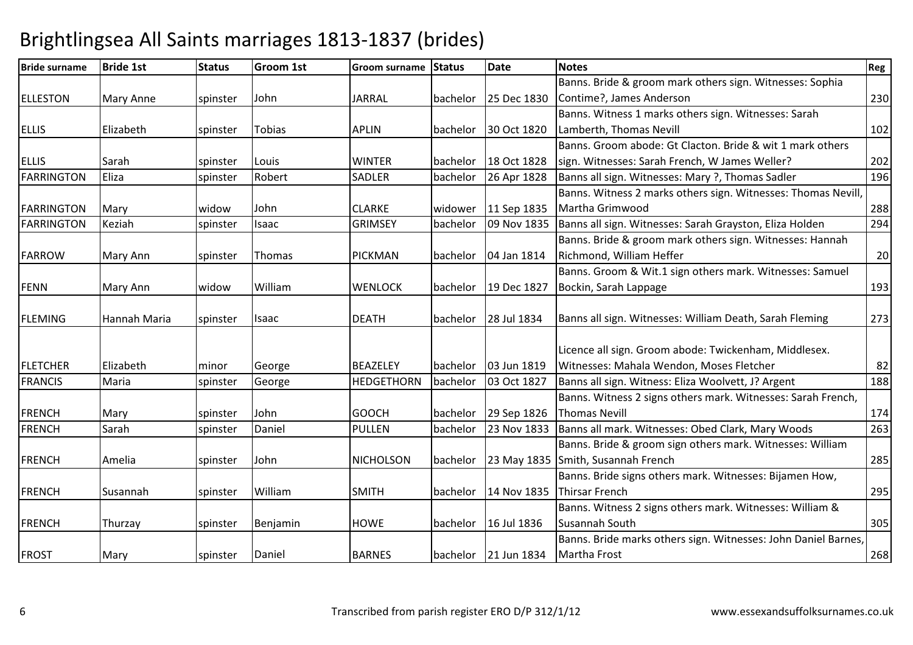| <b>Bride surname</b> | <b>Bride 1st</b> | <b>Status</b> | <b>Groom 1st</b> | <b>Groom surname</b> | Status   | <b>Date</b>            | <b>Notes</b>                                                   | Reg |
|----------------------|------------------|---------------|------------------|----------------------|----------|------------------------|----------------------------------------------------------------|-----|
|                      |                  |               |                  |                      |          |                        | Banns. Bride & groom mark others sign. Witnesses: Sophia       |     |
| <b>ELLESTON</b>      | <b>Mary Anne</b> | spinster      | John             | <b>JARRAL</b>        | bachelor | 25 Dec 1830            | Contime?, James Anderson                                       | 230 |
|                      |                  |               |                  |                      |          |                        | Banns. Witness 1 marks others sign. Witnesses: Sarah           |     |
| <b>ELLIS</b>         | Elizabeth        | spinster      | <b>Tobias</b>    | <b>APLIN</b>         | bachelor | 30 Oct 1820            | Lamberth, Thomas Nevill                                        | 102 |
|                      |                  |               |                  |                      |          |                        | Banns. Groom abode: Gt Clacton. Bride & wit 1 mark others      |     |
| <b>ELLIS</b>         | Sarah            | spinster      | Louis            | <b>WINTER</b>        |          | bachelor 18 Oct 1828   | sign. Witnesses: Sarah French, W James Weller?                 | 202 |
| <b>FARRINGTON</b>    | Eliza            | spinster      | Robert           | <b>SADLER</b>        | bachelor | 26 Apr 1828            | Banns all sign. Witnesses: Mary ?, Thomas Sadler               | 196 |
|                      |                  |               |                  |                      |          |                        | Banns. Witness 2 marks others sign. Witnesses: Thomas Nevill   |     |
| <b>FARRINGTON</b>    | Mary             | widow         | John             | <b>CLARKE</b>        | widower  | 11 Sep 1835            | Martha Grimwood                                                | 288 |
| <b>FARRINGTON</b>    | Keziah           | spinster      | Isaac            | <b>GRIMSEY</b>       | bachelor | 09 Nov 1835            | Banns all sign. Witnesses: Sarah Grayston, Eliza Holden        | 294 |
|                      |                  |               |                  |                      |          |                        | Banns. Bride & groom mark others sign. Witnesses: Hannah       |     |
| <b>FARROW</b>        | Mary Ann         | spinster      | Thomas           | <b>PICKMAN</b>       |          | bachelor   04 Jan 1814 | Richmond, William Heffer                                       | 20  |
|                      |                  |               |                  |                      |          |                        | Banns. Groom & Wit.1 sign others mark. Witnesses: Samuel       |     |
| <b>FENN</b>          | Mary Ann         | widow         | William          | <b>WENLOCK</b>       | bachelor | 19 Dec 1827            | Bockin, Sarah Lappage                                          | 193 |
|                      |                  |               |                  |                      |          |                        |                                                                |     |
| <b>FLEMING</b>       | Hannah Maria     | spinster      | Isaac            | <b>DEATH</b>         |          | bachelor 28 Jul 1834   | Banns all sign. Witnesses: William Death, Sarah Fleming        | 273 |
|                      |                  |               |                  |                      |          |                        |                                                                |     |
|                      |                  |               |                  |                      |          |                        | Licence all sign. Groom abode: Twickenham, Middlesex.          |     |
| <b>FLETCHER</b>      | Elizabeth        | minor         | George           | <b>BEAZELEY</b>      | bachelor | 03 Jun 1819            | Witnesses: Mahala Wendon, Moses Fletcher                       | 82  |
| <b>FRANCIS</b>       | Maria            | spinster      | George           | <b>HEDGETHORN</b>    | bachelor | 03 Oct 1827            | Banns all sign. Witness: Eliza Woolvett, J? Argent             | 188 |
|                      |                  |               |                  |                      |          |                        | Banns. Witness 2 signs others mark. Witnesses: Sarah French,   |     |
| <b>FRENCH</b>        | Mary             | spinster      | John             | <b>GOOCH</b>         | bachelor | 29 Sep 1826            | <b>Thomas Nevill</b>                                           | 174 |
| <b>FRENCH</b>        | Sarah            | spinster      | Daniel           | <b>PULLEN</b>        | bachelor | 23 Nov 1833            | Banns all mark. Witnesses: Obed Clark, Mary Woods              | 263 |
|                      |                  |               |                  |                      |          |                        | Banns. Bride & groom sign others mark. Witnesses: William      |     |
| <b>FRENCH</b>        | Amelia           | spinster      | John             | <b>NICHOLSON</b>     |          | bachelor 23 May 1835   | Smith, Susannah French                                         | 285 |
|                      |                  |               |                  |                      |          |                        | Banns. Bride signs others mark. Witnesses: Bijamen How,        |     |
| <b>FRENCH</b>        | Susannah         | spinster      | William          | <b>SMITH</b>         | bachelor | 14 Nov 1835            | <b>Thirsar French</b>                                          | 295 |
|                      |                  |               |                  |                      |          |                        | Banns. Witness 2 signs others mark. Witnesses: William &       |     |
| <b>FRENCH</b>        | Thurzay          | spinster      | Benjamin         | <b>HOWE</b>          | bachelor | 16 Jul 1836            | Susannah South                                                 | 305 |
|                      |                  |               |                  |                      |          |                        | Banns. Bride marks others sign. Witnesses: John Daniel Barnes, |     |
| <b>FROST</b>         | Mary             | spinster      | Daniel           | <b>BARNES</b>        |          | bachelor 21 Jun 1834   | Martha Frost                                                   | 268 |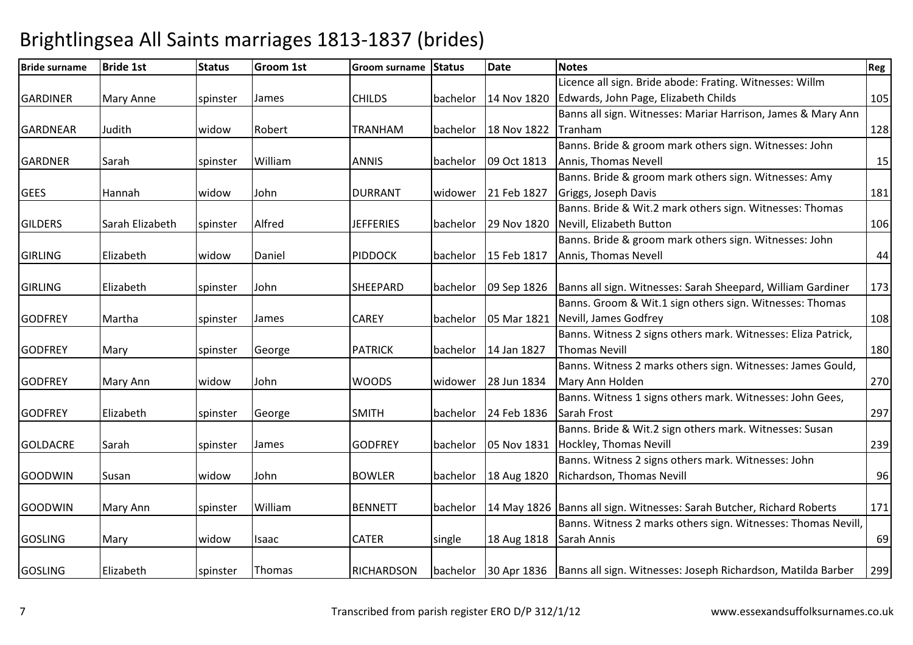### Bride surname Bride 1st Status Groom 1st Groom surname Status Datee Notes Reg GARDINER Mary Anne Spinster JamesCHILDS bachelor 14 Nov 1820 Licence all sign. Bride abode: Frating. Witnesses: Willm Edwards, John Page, Elizabeth Childss 105 GARDNEAR Judith Widow Robert | TRANHAM | bachelor | 18 Nov 1822 Banns all sign. Witnesses: Mariar Harrison, James & Mary Ann Tranham <sup>128</sup> Banns. Bride & groom mark others sign. Witnesses: John GARDNER Sarah spinster William ANNIS bachelor 09 Oct 1813 Annis, Thomas Nevell15 | 15 GEES Hannah widow John DURRANT widower 21 Feb 1827 Banns. Bride & groom mark others sign. Witnesses: Amy Griggs, Joseph Daviss 181 GILDERS Sarah Elizabeth Ispinster Alfred JEFFERIES bachelor 29 Nov 1820Banns. Bride & Wit.2 mark others sign. Witnesses: Thomas Nevill, Elizabeth Buttonn 106 GIRLING Elizabeth widoww Daniel PIDDOCK bachelor 15 Feb 1817 Banns. Bride & groom mark others sign. Witnesses: John Annis, Thomas Nevell $\begin{array}{|c|c|c|c|c|c|c|c|c|} \hline \quad \text{44} \end{array}$ GIRLING Elizabeth Ispinster JohnSHEEPARD | bachelor | 09 Sep 1826 Banns all sign. Witnesses: Sarah Sheepard, William Gardiner <sup>173</sup> GODFREY Martha Spinster James CAREY bachelor 05 Mar 1821Banns. Groom & Wit.1 sign others sign. Witnesses: Thomas Nevill, James Godfreyy 108 GODFREY Mary spinster GeorgePATRICK bachelor 14 Jan 1827 Banns. Witness 2 signs others mark. Witnesses: Eliza Patrick, Thomas Nevill180 GODFREY Mary Ann Widow John WOODS widower 28 Jun 1834 Banns. Witness 2 marks others sign. Witnesses: James Gould, Mary Ann Holdenn 270 GODFREY Elizabeth spinster GeorgeSMITH **bachelor** 24 Feb 1836 Banns. Witness 1 signs others mark. Witnesses: John Gees, Sarah Frostt 297 GOLDACRE Sarah spinster Jamess |GODFREY |bachelor |05 Nov 1831 |Hockley, Thomas Nevill Banns. Bride & Wit.2 sign others mark. Witnesses: Susan 239GOODWIN Susan Iwidow John BOWLER bachelor 18 Aug 1820 Banns. Witness 2 signs others mark. Witnesses: John Richardson, Thomas Nevill 96GOODWIN Mary Ann Spinster WilliamBENNETT | bachelor | 14 May 1826 | Banns all sign. Witnesses: Sarah Butcher, Richard Roberts | 171 GOSLING Mary widow Isaac CATER single 18 Aug 1818 Banns. Witness 2 marks others sign. Witnesses: Thomas Nevill, Sarah Anniss and  $\sim$  69 GOSLING Elizabeth Ispinster ThomasRICHARDSON **bachelor** 30 Apr 1836 Banns all sign. Witnesses: Joseph Richardson, Matilda Barber <sup>299</sup>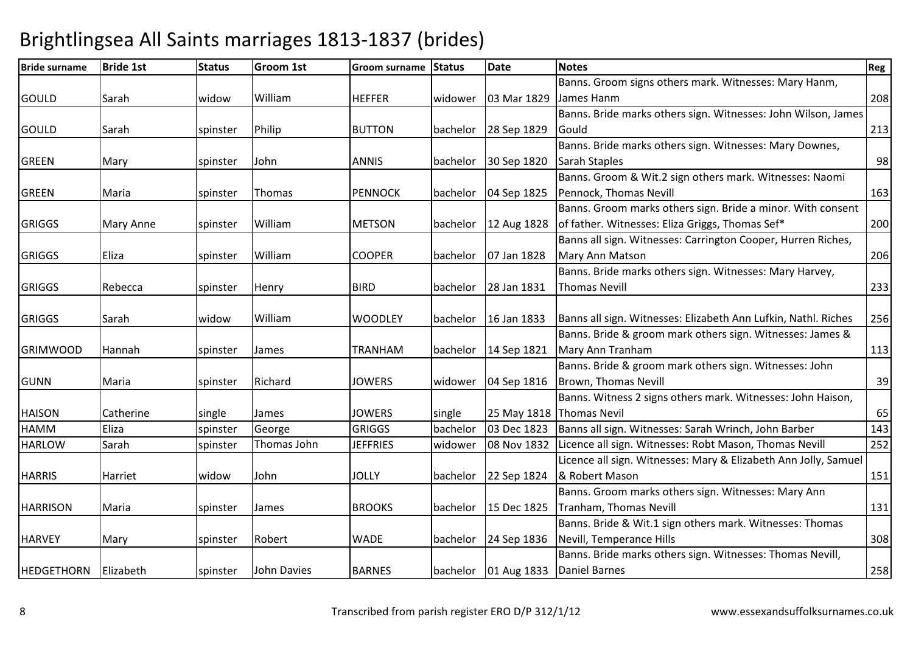### Bride surname Bride 1st Status Groom 1st Groom surname Status Datee Notes Reg GOULD Sarah widow WilliamHEFFER | widower | 03 Mar 1829 Banns. Groom signs others mark. Witnesses: Mary Hanm, James Hanm <sup>208</sup> Banns. Bride marks others sign. Witnesses: John Wilson, James GOULD Sarah spinster **Philip** BUTTON bachelor 28 Sep 1829 Gouldd 213 GREEN Mary spinster John ANNIS bachelor 30 Sep 1820Banns. Bride marks others sign. Witnesses: Mary Downes, Sarah Stapless and  $\sim$  98 GREEN Maria Spinster ThomasPENNOCK **bachelor** 04 Sep 1825 Banns. Groom & Wit.2 sign others mark. Witnesses: Naomi Pennock, Thomas Nevill 163 GRIGGS | Mary Anne | spinster WilliamMETSON bachelor 12 Aug 1828 Banns. Groom marks others sign. Bride a minor. With consent of father. Witnesses: Eliza Griggs, Thomas Sef\* <sup>200</sup>GRIGGS Eliza spinster William COOPER bachelor 07 Jan 1828 Banns all sign. Witnesses: Carrington Cooper, Hurren Riches, Mary Ann Matsonn 206 GRIGGS Rebecca Ispinster **Henry**  BIRD bachelor 28 Jan 1831Banns. Bride marks others sign. Witnesses: Mary Harvey, Thomas Nevill 233GRIGGS Sarah Widow William WOODLEY bachelor 16 Jan 1833 Banns all sign. Witnesses: Elizabeth Ann Lufkin, Nathl. Riches <sup>256</sup> GRIMWOOD Hannah Spinster James TRANHAM bachelor 14 Sep 1821Banns. Bride & groom mark others sign. Witnesses: James & Mary Ann Tranham <sup>113</sup> Banns. Bride & groom mark others sign. Witnesses: John GUNN Maria Ispinster RichardJOWERS Widower 04 Sep 1816 Brown, Thomas Nevill1 39 HAISON Catherine single e James JOWERS single 25 May 1818 Thomas Nevil 2011 1918 States 1918 States 1918 03 Dec 1823 Banns. Witness 2 signs others mark. Witnesses: John Haison, 143 HAMMEliza 1992 | Spinster George 1981 | GRIGGS | bachelor | 03 Dec 1823 | Banns all sign. Witnesses: Sarah Wrinch, John Barber | 143<br>| Sarah 1991 | Spinster Thomas John | JEFFRIES | widower | 08 Nov 1832 | Licence all sign. Wi HARLOWLicence all sign. Witnesses: Robt Mason, Thomas Nevill HARRIS Harriet widow John JOLLY bachelor 22 Sep 1824 Licence all sign. Witnesses: Mary & Elizabeth Ann Jolly, Samuel & Robert Masonn 151 HARRISON Maria Spinster JamesBROOKS bachelor 15 Dec 1825 Banns. Groom marks others sign. Witnesses: Mary Ann Tranham, Thomas Nevill 131HARVEY Mary spinster Robert WADE bachelor 24 Sep 1836 Banns. Bride & Wit.1 sign others mark. Witnesses: Thomas Nevill, Temperance Hillss 308 HEDGETHORN Elizabeth Spinster John DaviesBARNES bachelor 01 Aug 1833 Banns. Bride marks others sign. Witnesses: Thomas Nevill, Daniel Barness 258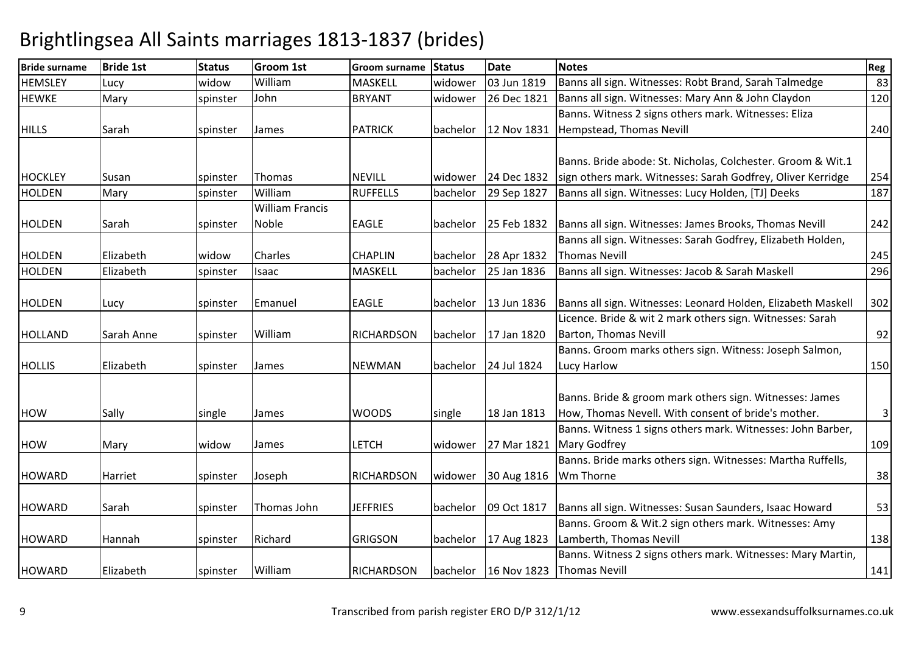| <b>Bride surname</b> | <b>Bride 1st</b> | <b>Status</b> | Groom 1st              | Groom surname     | <b>Status</b> | <b>Date</b> | <b>Notes</b>                                                 | Reg          |
|----------------------|------------------|---------------|------------------------|-------------------|---------------|-------------|--------------------------------------------------------------|--------------|
| <b>HEMSLEY</b>       | Lucy             | widow         | William                | <b>MASKELL</b>    | widower       | 03 Jun 1819 | Banns all sign. Witnesses: Robt Brand, Sarah Talmedge        | 83           |
| <b>HEWKE</b>         | Mary             | spinster      | John                   | <b>BRYANT</b>     | widower       | 26 Dec 1821 | Banns all sign. Witnesses: Mary Ann & John Claydon           | 120          |
|                      |                  |               |                        |                   |               |             | Banns. Witness 2 signs others mark. Witnesses: Eliza         |              |
| <b>HILLS</b>         | Sarah            | spinster      | James                  | <b>PATRICK</b>    | bachelor      | 12 Nov 1831 | Hempstead, Thomas Nevill                                     | 240          |
|                      |                  |               |                        |                   |               |             |                                                              |              |
|                      |                  |               |                        |                   |               |             | Banns. Bride abode: St. Nicholas, Colchester. Groom & Wit.1  |              |
| <b>HOCKLEY</b>       | Susan            | spinster      | Thomas                 | <b>NEVILL</b>     | widower       | 24 Dec 1832 | sign others mark. Witnesses: Sarah Godfrey, Oliver Kerridge  | 254          |
| <b>HOLDEN</b>        | Mary             | spinster      | William                | <b>RUFFELLS</b>   | bachelor      | 29 Sep 1827 | Banns all sign. Witnesses: Lucy Holden, [TJ] Deeks           | 187          |
|                      |                  |               | <b>William Francis</b> |                   |               |             |                                                              |              |
| <b>HOLDEN</b>        | Sarah            | spinster      | Noble                  | <b>EAGLE</b>      | bachelor      | 25 Feb 1832 | Banns all sign. Witnesses: James Brooks, Thomas Nevill       | 242          |
|                      |                  |               |                        |                   |               |             | Banns all sign. Witnesses: Sarah Godfrey, Elizabeth Holden,  |              |
| <b>HOLDEN</b>        | Elizabeth        | widow         | Charles                | <b>CHAPLIN</b>    | bachelor      | 28 Apr 1832 | <b>Thomas Nevill</b>                                         | 245          |
| <b>HOLDEN</b>        | Elizabeth        | spinster      | Isaac                  | <b>MASKELL</b>    | bachelor      | 25 Jan 1836 | Banns all sign. Witnesses: Jacob & Sarah Maskell             | 296          |
|                      |                  |               |                        |                   |               |             |                                                              |              |
| <b>HOLDEN</b>        | Lucy             | spinster      | Emanuel                | <b>EAGLE</b>      | bachelor      | 13 Jun 1836 | Banns all sign. Witnesses: Leonard Holden, Elizabeth Maskell | 302          |
|                      |                  |               |                        |                   |               |             | Licence. Bride & wit 2 mark others sign. Witnesses: Sarah    |              |
| <b>HOLLAND</b>       | Sarah Anne       | spinster      | William                | <b>RICHARDSON</b> | bachelor      | 17 Jan 1820 | Barton, Thomas Nevill                                        | 92           |
|                      |                  |               |                        |                   |               |             | Banns. Groom marks others sign. Witness: Joseph Salmon,      |              |
| <b>HOLLIS</b>        | Elizabeth        | spinster      | James                  | <b>NEWMAN</b>     | bachelor      | 24 Jul 1824 | Lucy Harlow                                                  | 150          |
|                      |                  |               |                        |                   |               |             |                                                              |              |
|                      |                  |               |                        |                   |               |             | Banns. Bride & groom mark others sign. Witnesses: James      |              |
| <b>HOW</b>           | Sally            | single        | James                  | <b>WOODS</b>      | single        | 18 Jan 1813 | How, Thomas Nevell. With consent of bride's mother.          | $\mathsf{3}$ |
|                      |                  |               |                        |                   |               |             | Banns. Witness 1 signs others mark. Witnesses: John Barber,  |              |
| <b>HOW</b>           | Mary             | widow         | James                  | <b>LETCH</b>      | widower       | 27 Mar 1821 | <b>Mary Godfrey</b>                                          | 109          |
|                      |                  |               |                        |                   |               |             | Banns. Bride marks others sign. Witnesses: Martha Ruffells,  |              |
| <b>HOWARD</b>        | Harriet          | spinster      | Joseph                 | <b>RICHARDSON</b> | widower       | 30 Aug 1816 | <b>Wm Thorne</b>                                             | 38           |
|                      |                  |               |                        |                   |               |             |                                                              |              |
| <b>HOWARD</b>        | Sarah            | spinster      | Thomas John            | <b>JEFFRIES</b>   | bachelor      | 09 Oct 1817 | Banns all sign. Witnesses: Susan Saunders, Isaac Howard      | 53           |
|                      |                  |               |                        |                   |               |             | Banns. Groom & Wit.2 sign others mark. Witnesses: Amy        |              |
| <b>HOWARD</b>        | Hannah           | spinster      | Richard                | <b>GRIGSON</b>    | bachelor      | 17 Aug 1823 | Lamberth, Thomas Nevill                                      | 138          |
|                      |                  |               |                        |                   |               |             | Banns. Witness 2 signs others mark. Witnesses: Mary Martin,  |              |
| <b>HOWARD</b>        | Elizabeth        | spinster      | William                | <b>RICHARDSON</b> | bachelor      | 16 Nov 1823 | <b>Thomas Nevill</b>                                         | 141          |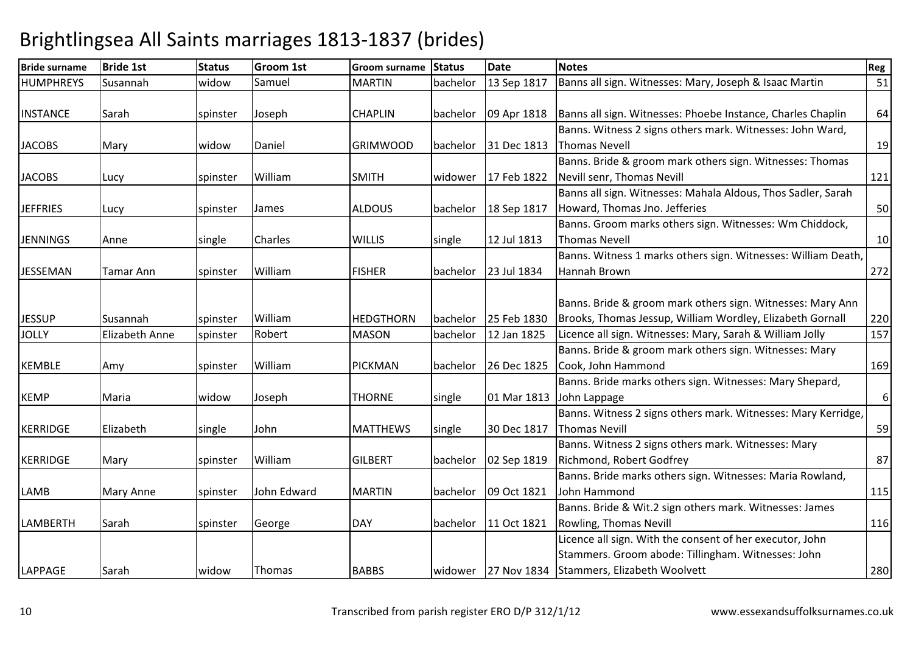| <b>Bride surname</b> | <b>Bride 1st</b> | <b>Status</b> | Groom 1st   | Groom surname    | <b>Status</b> | <b>Date</b> | <b>Notes</b>                                                                                                                                               | Reg              |
|----------------------|------------------|---------------|-------------|------------------|---------------|-------------|------------------------------------------------------------------------------------------------------------------------------------------------------------|------------------|
| <b>HUMPHREYS</b>     | Susannah         | widow         | Samuel      | <b>MARTIN</b>    | bachelor      | 13 Sep 1817 | Banns all sign. Witnesses: Mary, Joseph & Isaac Martin                                                                                                     | 51               |
| <b>INSTANCE</b>      | Sarah            | spinster      | Joseph      | <b>CHAPLIN</b>   | bachelor      | 09 Apr 1818 | Banns all sign. Witnesses: Phoebe Instance, Charles Chaplin                                                                                                | 64               |
| <b>JACOBS</b>        | Mary             | widow         | Daniel      | <b>GRIMWOOD</b>  | bachelor      | 31 Dec 1813 | Banns. Witness 2 signs others mark. Witnesses: John Ward,<br><b>Thomas Nevell</b>                                                                          | 19               |
| <b>JACOBS</b>        | Lucy             | spinster      | William     | <b>SMITH</b>     | widower       | 17 Feb 1822 | Banns. Bride & groom mark others sign. Witnesses: Thomas<br>Nevill senr, Thomas Nevill                                                                     | 121              |
| <b>JEFFRIES</b>      | Lucy             | spinster      | James       | <b>ALDOUS</b>    | bachelor      | 18 Sep 1817 | Banns all sign. Witnesses: Mahala Aldous, Thos Sadler, Sarah<br>Howard, Thomas Jno. Jefferies                                                              | 50               |
| <b>JENNINGS</b>      | Anne             | single        | Charles     | <b>WILLIS</b>    | single        | 12 Jul 1813 | Banns. Groom marks others sign. Witnesses: Wm Chiddock,<br><b>Thomas Nevell</b>                                                                            | 10               |
| <b>JESSEMAN</b>      | Tamar Ann        | spinster      | William     | <b>FISHER</b>    | bachelor      | 23 Jul 1834 | Banns. Witness 1 marks others sign. Witnesses: William Death,<br>Hannah Brown                                                                              | 272              |
| <b>JESSUP</b>        | Susannah         | spinster      | William     | <b>HEDGTHORN</b> | bachelor      | 25 Feb 1830 | Banns. Bride & groom mark others sign. Witnesses: Mary Ann<br>Brooks, Thomas Jessup, William Wordley, Elizabeth Gornall                                    | 220              |
| <b>JOLLY</b>         | Elizabeth Anne   | spinster      | Robert      | <b>MASON</b>     | bachelor      | 12 Jan 1825 | Licence all sign. Witnesses: Mary, Sarah & William Jolly                                                                                                   | 157              |
| <b>KEMBLE</b>        | Amy              | spinster      | William     | <b>PICKMAN</b>   | bachelor      | 26 Dec 1825 | Banns. Bride & groom mark others sign. Witnesses: Mary<br>Cook, John Hammond                                                                               | 169              |
| <b>KEMP</b>          | Maria            | widow         | Joseph      | <b>THORNE</b>    | single        | 01 Mar 1813 | Banns. Bride marks others sign. Witnesses: Mary Shepard,<br>John Lappage                                                                                   | $\boldsymbol{6}$ |
| <b>KERRIDGE</b>      | Elizabeth        | single        | John        | <b>MATTHEWS</b>  | single        | 30 Dec 1817 | Banns. Witness 2 signs others mark. Witnesses: Mary Kerridge,<br><b>Thomas Nevill</b>                                                                      | 59               |
| <b>KERRIDGE</b>      | Mary             | spinster      | William     | <b>GILBERT</b>   | bachelor      | 02 Sep 1819 | Banns. Witness 2 signs others mark. Witnesses: Mary<br>Richmond, Robert Godfrey                                                                            | 87               |
| LAMB                 | Mary Anne        | spinster      | John Edward | <b>MARTIN</b>    | bachelor      | 09 Oct 1821 | Banns. Bride marks others sign. Witnesses: Maria Rowland,<br>John Hammond                                                                                  | 115              |
| LAMBERTH             | Sarah            | spinster      | George      | <b>DAY</b>       | bachelor      | 11 Oct 1821 | Banns. Bride & Wit.2 sign others mark. Witnesses: James<br>Rowling, Thomas Nevill                                                                          | 116              |
| LAPPAGE              | Sarah            | widow         | Thomas      | <b>BABBS</b>     | widower       |             | Licence all sign. With the consent of her executor, John<br>Stammers. Groom abode: Tillingham. Witnesses: John<br>27 Nov 1834 Stammers, Elizabeth Woolvett | 280              |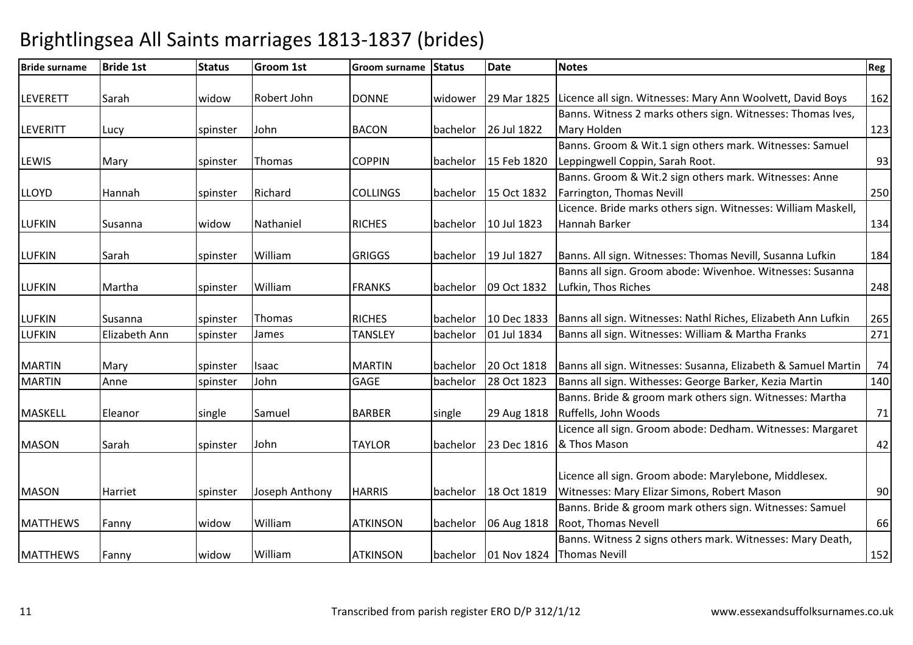| <b>Bride surname</b> | <b>Bride 1st</b> | <b>Status</b> | Groom 1st      | <b>Groom surname</b> | Status   | <b>Date</b>          | <b>Notes</b>                                                           | Reg |
|----------------------|------------------|---------------|----------------|----------------------|----------|----------------------|------------------------------------------------------------------------|-----|
| LEVERETT             | Sarah            | widow         | Robert John    | <b>DONNE</b>         | widower  |                      | 29 Mar 1825 Licence all sign. Witnesses: Mary Ann Woolvett, David Boys | 162 |
|                      |                  |               |                |                      |          |                      | Banns. Witness 2 marks others sign. Witnesses: Thomas Ives,            |     |
| <b>LEVERITT</b>      | Lucy             | spinster      | John           | <b>BACON</b>         |          | bachelor 26 Jul 1822 | Mary Holden                                                            | 123 |
|                      |                  |               |                |                      |          |                      | Banns. Groom & Wit.1 sign others mark. Witnesses: Samuel               |     |
| LEWIS                | Mary             | spinster      | Thomas         | <b>COPPIN</b>        |          | bachelor 15 Feb 1820 | Leppingwell Coppin, Sarah Root.                                        | 93  |
|                      |                  |               |                |                      |          |                      | Banns. Groom & Wit.2 sign others mark. Witnesses: Anne                 |     |
| <b>LLOYD</b>         | Hannah           | spinster      | Richard        | <b>COLLINGS</b>      | bachelor | 15 Oct 1832          | Farrington, Thomas Nevill                                              | 250 |
|                      |                  |               |                |                      |          |                      | Licence. Bride marks others sign. Witnesses: William Maskell,          |     |
| <b>LUFKIN</b>        | Susanna          | widow         | Nathaniel      | <b>RICHES</b>        | bachelor | 10 Jul 1823          | Hannah Barker                                                          | 134 |
|                      |                  |               |                |                      |          |                      |                                                                        |     |
| <b>LUFKIN</b>        | Sarah            | spinster      | William        | <b>GRIGGS</b>        |          | bachelor 19 Jul 1827 | Banns. All sign. Witnesses: Thomas Nevill, Susanna Lufkin              | 184 |
|                      |                  |               |                |                      |          |                      | Banns all sign. Groom abode: Wivenhoe. Witnesses: Susanna              |     |
| <b>LUFKIN</b>        | Martha           | spinster      | William        | <b>FRANKS</b>        |          | bachelor 09 Oct 1832 | Lufkin, Thos Riches                                                    | 248 |
|                      |                  |               |                |                      |          |                      |                                                                        |     |
| <b>LUFKIN</b>        | Susanna          | spinster      | Thomas         | <b>RICHES</b>        | bachelor | 10 Dec 1833          | Banns all sign. Witnesses: Nathl Riches, Elizabeth Ann Lufkin          | 265 |
| <b>LUFKIN</b>        | Elizabeth Ann    | spinster      | James          | <b>TANSLEY</b>       | bachelor | 01 Jul 1834          | Banns all sign. Witnesses: William & Martha Franks                     | 271 |
|                      |                  |               |                |                      |          |                      |                                                                        |     |
| <b>MARTIN</b>        | Mary             | spinster      | Isaac          | <b>MARTIN</b>        | bachelor | 20 Oct 1818          | Banns all sign. Witnesses: Susanna, Elizabeth & Samuel Martin          | 74  |
| <b>MARTIN</b>        | Anne             | spinster      | John           | GAGE                 | bachelor | 28 Oct 1823          | Banns all sign. Withesses: George Barker, Kezia Martin                 | 140 |
|                      |                  |               |                |                      |          |                      | Banns. Bride & groom mark others sign. Witnesses: Martha               |     |
| <b>MASKELL</b>       | Eleanor          | single        | Samuel         | <b>BARBER</b>        | single   | 29 Aug 1818          | Ruffells, John Woods                                                   | 71  |
|                      |                  |               |                |                      |          |                      | Licence all sign. Groom abode: Dedham. Witnesses: Margaret             |     |
| <b>MASON</b>         | Sarah            | spinster      | John           | <b>TAYLOR</b>        | bachelor | 23 Dec 1816          | & Thos Mason                                                           | 42  |
|                      |                  |               |                |                      |          |                      |                                                                        |     |
|                      |                  |               |                |                      |          |                      | Licence all sign. Groom abode: Marylebone, Middlesex.                  |     |
| <b>MASON</b>         | Harriet          | spinster      | Joseph Anthony | <b>HARRIS</b>        |          | bachelor 18 Oct 1819 | Witnesses: Mary Elizar Simons, Robert Mason                            | 90  |
|                      |                  |               |                |                      |          |                      | Banns. Bride & groom mark others sign. Witnesses: Samuel               |     |
| <b>MATTHEWS</b>      | Fanny            | widow         | William        | <b>ATKINSON</b>      | bachelor | 06 Aug 1818          | Root, Thomas Nevell                                                    | 66  |
|                      |                  |               |                |                      |          |                      | Banns. Witness 2 signs others mark. Witnesses: Mary Death,             |     |
| <b>MATTHEWS</b>      | Fanny            | widow         | William        | <b>ATKINSON</b>      |          | bachelor 01 Nov 1824 | <b>Thomas Nevill</b>                                                   | 152 |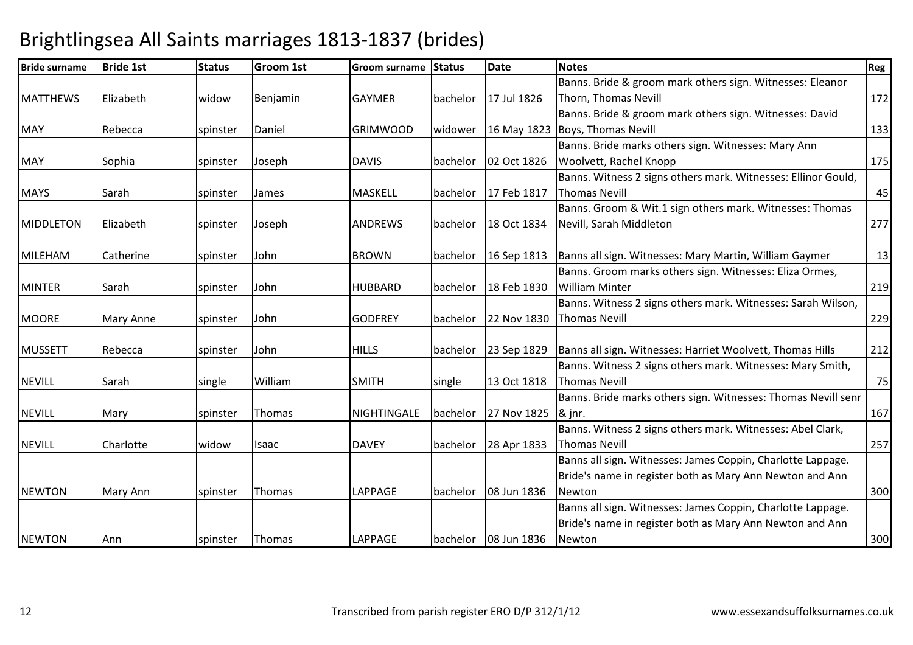### Bride surname Bride 1st Status Groom 1st Groom surname Status Datee Notes Reg MATTHEWS Elizabeth I widow Benjamin GAYMER bachelor 17 Jul 1826 Banns. Bride & groom mark others sign. Witnesses: Eleanor Thorn, Thomas Nevill **172** MAY Rebecca spinster r |Daniel |GRIMWOOD |widower |16 May 1823 |Boys, Thomas Nevill Banns. Bride & groom mark others sign. Witnesses: David 133MAY Sophia spinster JosephDAVIS bachelor 02 Oct 1826 Banns. Bride marks others sign. Witnesses: Mary Ann Woolvett, Rachel Knoppp 175 MAYS Sarah Sarah Spinster James MASKELL bachelor 17 Feb 1817Banns. Witness 2 signs others mark. Witnesses: Ellinor Gould, Thomas Nevill 45MIDDLETON Elizabeth Ispinster JosephANDREWS | bachelor | 18 Oct 1834 Banns. Groom & Wit.1 sign others mark. Witnesses: Thomas Nevill, Sarah Middletonn 277 MILEHAM Catherine Ispinster JohnBROWN bachelor 16 Sep 1813 Banns all sign. Witnesses: Mary Martin, William Gaymer 13 MINTER Sarah Sarah Spinster John HUBBARD bachelor 18 Feb 1830Banns. Groom marks others sign. Witnesses: Eliza Ormes, William Minterr 219 MOORE Mary Anne Spinster John GODFREY bachelor 22 Nov 1830Banns. Witness 2 signs others mark. Witnesses: Sarah Wilson, Thomas Nevill 229MUSSETT Rebecca spinster JohnHILLS bachelor 23 Sep 1829 Banns all sign. Witnesses: Harriet Woolvett, Thomas Hills <sup>212</sup> NEVILL Sarah single WilliamSMITH single 13 Oct 1818 Banns. Witness 2 signs others mark. Witnesses: Mary Smith, Thomas Nevill 75NEVILL Mary spinster ThomasNIGHTINGALE bachelor 27 Nov 1825 Banns. Bride marks others sign. Witnesses: Thomas Nevill senr & jnr.. **167** NEVILL Charlotte Widow Isaac DAVEY bachelor 28 Apr 1833 Banns. Witness 2 signs others mark. Witnesses: Abel Clark, Thomas Nevill 257NEWTON Mary Ann Spinster Thomas LAPPAGE bachelor 08 Jun 1836Banns all sign. Witnesses: James Coppin, Charlotte Lappage. Bride's name in register both as Mary Ann Newton and Ann Newtonn 300 NEWTON Ann spinster Thomas LAPPAGE bachelor 08 Jun 1836Banns all sign. Witnesses: James Coppin, Charlotte Lappage. Bride's name in register both as Mary Ann Newton and Ann Newtonn 300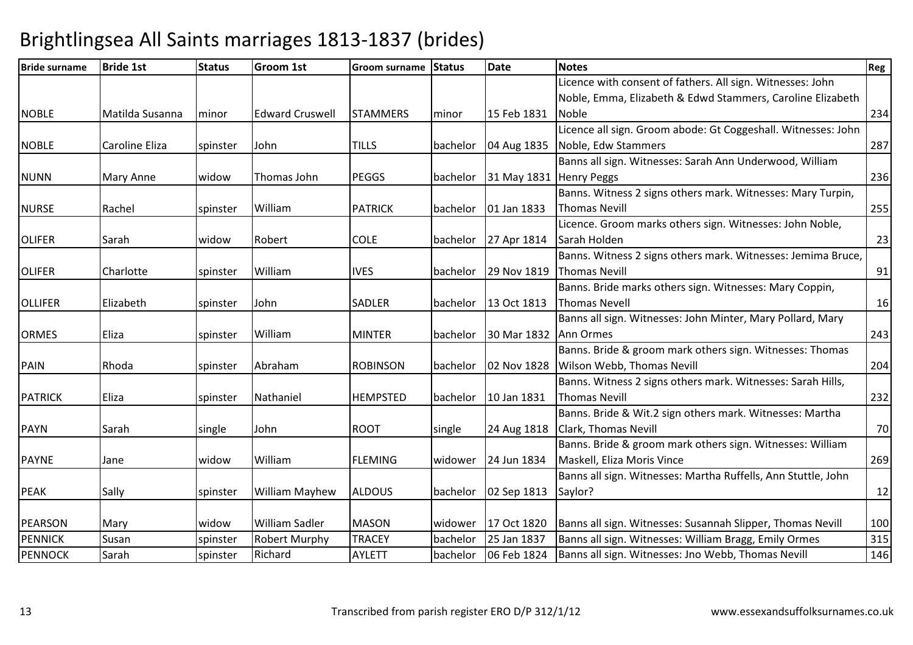| <b>Bride surname</b> | <b>Bride 1st</b>      | <b>Status</b> | <b>Groom 1st</b>       | Groom surname   | <b>Status</b> | <b>Date</b>             | <b>Notes</b>                                                  | Reg |
|----------------------|-----------------------|---------------|------------------------|-----------------|---------------|-------------------------|---------------------------------------------------------------|-----|
|                      |                       |               |                        |                 |               |                         | Licence with consent of fathers. All sign. Witnesses: John    |     |
|                      |                       |               |                        |                 |               |                         | Noble, Emma, Elizabeth & Edwd Stammers, Caroline Elizabeth    |     |
| <b>NOBLE</b>         | Matilda Susanna       | minor         | <b>Edward Cruswell</b> | <b>STAMMERS</b> | minor         | 15 Feb 1831             | <b>Noble</b>                                                  | 234 |
|                      |                       |               |                        |                 |               |                         | Licence all sign. Groom abode: Gt Coggeshall. Witnesses: John |     |
| <b>NOBLE</b>         | <b>Caroline Eliza</b> | spinster      | John                   | <b>TILLS</b>    | bachelor      | 04 Aug 1835             | Noble, Edw Stammers                                           | 287 |
|                      |                       |               |                        |                 |               |                         | Banns all sign. Witnesses: Sarah Ann Underwood, William       |     |
| <b>NUNN</b>          | <b>Mary Anne</b>      | widow         | Thomas John            | <b>PEGGS</b>    | bachelor      | 31 May 1831 Henry Peggs |                                                               | 236 |
|                      |                       |               |                        |                 |               |                         | Banns. Witness 2 signs others mark. Witnesses: Mary Turpin,   |     |
| <b>NURSE</b>         | Rachel                | spinster      | William                | <b>PATRICK</b>  | bachelor      | 01 Jan 1833             | <b>Thomas Nevill</b>                                          | 255 |
|                      |                       |               |                        |                 |               |                         | Licence. Groom marks others sign. Witnesses: John Noble,      |     |
| <b>OLIFER</b>        | Sarah                 | widow         | Robert                 | <b>COLE</b>     | bachelor      | 27 Apr 1814             | Sarah Holden                                                  | 23  |
|                      |                       |               |                        |                 |               |                         | Banns. Witness 2 signs others mark. Witnesses: Jemima Bruce,  |     |
| <b>OLIFER</b>        | Charlotte             | spinster      | William                | <b>IVES</b>     | bachelor      |                         | 29 Nov 1819 Thomas Nevill                                     | 91  |
|                      |                       |               |                        |                 |               |                         | Banns. Bride marks others sign. Witnesses: Mary Coppin,       |     |
| <b>OLLIFER</b>       | Elizabeth             | spinster      | John                   | <b>SADLER</b>   | bachelor      | 13 Oct 1813             | <b>Thomas Nevell</b>                                          | 16  |
|                      |                       |               |                        |                 |               |                         | Banns all sign. Witnesses: John Minter, Mary Pollard, Mary    |     |
| <b>ORMES</b>         | Eliza                 | spinster      | William                | <b>MINTER</b>   | bachelor      | 30 Mar 1832             | Ann Ormes                                                     | 243 |
|                      |                       |               |                        |                 |               |                         | Banns. Bride & groom mark others sign. Witnesses: Thomas      |     |
| <b>PAIN</b>          | Rhoda                 | spinster      | Abraham                | <b>ROBINSON</b> | bachelor      | 02 Nov 1828             | Wilson Webb, Thomas Nevill                                    | 204 |
|                      |                       |               |                        |                 |               |                         | Banns. Witness 2 signs others mark. Witnesses: Sarah Hills,   |     |
| <b>PATRICK</b>       | Eliza                 | spinster      | Nathaniel              | <b>HEMPSTED</b> | bachelor      | 10 Jan 1831             | <b>Thomas Nevill</b>                                          | 232 |
|                      |                       |               |                        |                 |               |                         | Banns. Bride & Wit.2 sign others mark. Witnesses: Martha      |     |
| <b>PAYN</b>          | Sarah                 | single        | John                   | <b>ROOT</b>     | single        | 24 Aug 1818             | Clark, Thomas Nevill                                          | 70  |
|                      |                       |               |                        |                 |               |                         | Banns. Bride & groom mark others sign. Witnesses: William     |     |
| <b>PAYNE</b>         | Jane                  | widow         | William                | <b>FLEMING</b>  | widower       | 24 Jun 1834             | Maskell, Eliza Moris Vince                                    | 269 |
|                      |                       |               |                        |                 |               |                         | Banns all sign. Witnesses: Martha Ruffells, Ann Stuttle, John |     |
| <b>PEAK</b>          | Sally                 | spinster      | <b>William Mayhew</b>  | <b>ALDOUS</b>   | bachelor      | 02 Sep 1813             | Saylor?                                                       | 12  |
|                      |                       |               |                        |                 |               |                         |                                                               |     |
| <b>PEARSON</b>       | Mary                  | widow         | William Sadler         | <b>MASON</b>    | widower       | 17 Oct 1820             | Banns all sign. Witnesses: Susannah Slipper, Thomas Nevill    | 100 |
| <b>PENNICK</b>       | Susan                 | spinster      | <b>Robert Murphy</b>   | <b>TRACEY</b>   | bachelor      | 25 Jan 1837             | Banns all sign. Witnesses: William Bragg, Emily Ormes         | 315 |
| <b>PENNOCK</b>       | Sarah                 | spinster      | Richard                | <b>AYLETT</b>   | bachelor      | 06 Feb 1824             | Banns all sign. Witnesses: Jno Webb, Thomas Nevill            | 146 |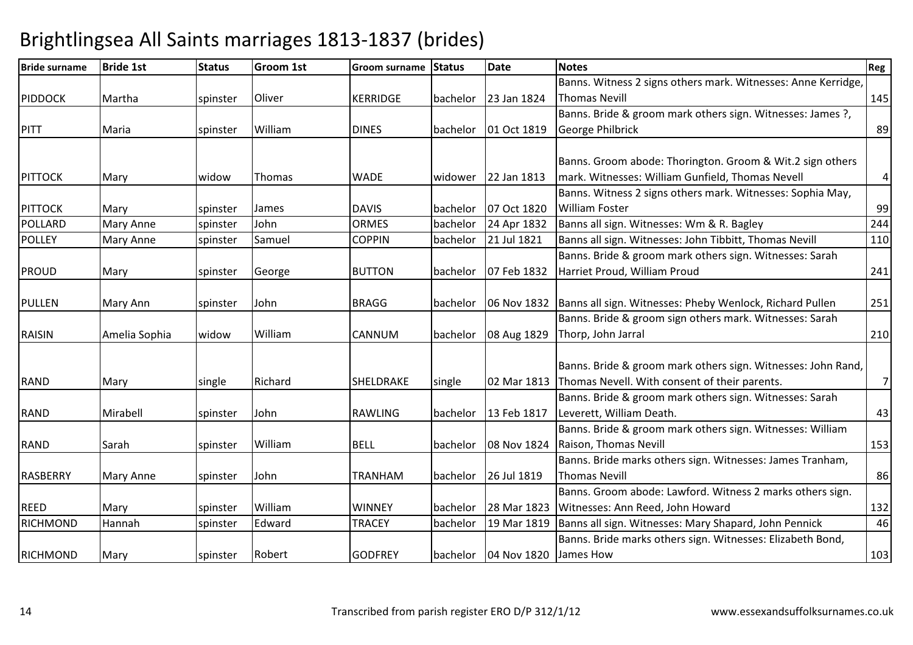| <b>Bride surname</b> | <b>Bride 1st</b> | <b>Status</b> | Groom 1st | <b>Groom surname</b> | <b>Status</b> | <b>Date</b>                        | <b>Notes</b>                                                           | Reg            |
|----------------------|------------------|---------------|-----------|----------------------|---------------|------------------------------------|------------------------------------------------------------------------|----------------|
|                      |                  |               |           |                      |               |                                    | Banns. Witness 2 signs others mark. Witnesses: Anne Kerridge,          |                |
| <b>PIDDOCK</b>       | Martha           | spinster      | Oliver    | <b>KERRIDGE</b>      | bachelor      | 23 Jan 1824                        | <b>Thomas Nevill</b>                                                   | 145            |
|                      |                  |               |           |                      |               |                                    | Banns. Bride & groom mark others sign. Witnesses: James ?,             |                |
| PITT                 | Maria            | spinster      | William   | <b>DINES</b>         | bachelor      | 01 Oct 1819                        | George Philbrick                                                       | 89             |
|                      |                  |               |           |                      |               |                                    |                                                                        |                |
|                      |                  |               |           |                      |               |                                    | Banns. Groom abode: Thorington. Groom & Wit.2 sign others              |                |
| <b>PITTOCK</b>       | Mary             | widow         | Thomas    | <b>WADE</b>          |               | widower 22 Jan 1813                | mark. Witnesses: William Gunfield, Thomas Nevell                       | $\overline{a}$ |
|                      |                  |               |           |                      |               |                                    | Banns. Witness 2 signs others mark. Witnesses: Sophia May,             |                |
| <b>PITTOCK</b>       | Mary             | spinster      | James     | <b>DAVIS</b>         | bachelor      | 07 Oct 1820                        | <b>William Foster</b>                                                  | 99             |
| POLLARD              | <b>Mary Anne</b> | spinster      | John      | <b>ORMES</b>         | bachelor      | 24 Apr 1832                        | Banns all sign. Witnesses: Wm & R. Bagley                              | 244            |
| <b>POLLEY</b>        | Mary Anne        | spinster      | Samuel    | <b>COPPIN</b>        | bachelor      | 21 Jul 1821                        | Banns all sign. Witnesses: John Tibbitt, Thomas Nevill                 | 110            |
|                      |                  |               |           |                      |               |                                    | Banns. Bride & groom mark others sign. Witnesses: Sarah                |                |
| <b>PROUD</b>         | Mary             | spinster      | George    | <b>BUTTON</b>        | bachelor      | 07 Feb 1832                        | Harriet Proud, William Proud                                           | 241            |
|                      |                  |               |           |                      |               |                                    |                                                                        |                |
| <b>PULLEN</b>        | Mary Ann         | spinster      | John      | <b>BRAGG</b>         | bachelor      |                                    | 06 Nov 1832   Banns all sign. Witnesses: Pheby Wenlock, Richard Pullen | 251            |
|                      |                  |               |           |                      |               |                                    | Banns. Bride & groom sign others mark. Witnesses: Sarah                |                |
| <b>RAISIN</b>        | Amelia Sophia    | widow         | William   | <b>CANNUM</b>        | bachelor      | 08 Aug 1829                        | Thorp, John Jarral                                                     | 210            |
|                      |                  |               |           |                      |               |                                    |                                                                        |                |
|                      |                  |               |           |                      |               |                                    | Banns. Bride & groom mark others sign. Witnesses: John Rand,           |                |
| <b>RAND</b>          | Mary             | single        | Richard   | SHELDRAKE            | single        |                                    | 02 Mar 1813 Thomas Nevell. With consent of their parents.              | 7              |
|                      |                  |               |           |                      |               |                                    | Banns. Bride & groom mark others sign. Witnesses: Sarah                |                |
| <b>RAND</b>          | Mirabell         | spinster      | John      | <b>RAWLING</b>       | bachelor      | 13 Feb 1817                        | Leverett, William Death.                                               | 43             |
|                      |                  |               |           |                      |               |                                    | Banns. Bride & groom mark others sign. Witnesses: William              |                |
| <b>RAND</b>          | Sarah            | spinster      | William   | <b>BELL</b>          | bachelor      | 08 Nov 1824                        | Raison, Thomas Nevill                                                  | 153            |
|                      |                  |               |           |                      |               |                                    | Banns. Bride marks others sign. Witnesses: James Tranham,              |                |
| <b>RASBERRY</b>      | <b>Mary Anne</b> | spinster      | John      | TRANHAM              | bachelor      | 26 Jul 1819                        | <b>Thomas Nevill</b>                                                   | 86             |
|                      |                  |               |           |                      |               |                                    | Banns. Groom abode: Lawford. Witness 2 marks others sign.              |                |
| <b>REED</b>          | Mary             | spinster      | William   | <b>WINNEY</b>        | bachelor      | 28 Mar 1823                        | Witnesses: Ann Reed, John Howard                                       | 132            |
| <b>RICHMOND</b>      | Hannah           | spinster      | Edward    | <b>TRACEY</b>        | bachelor      | 19 Mar 1819                        | Banns all sign. Witnesses: Mary Shapard, John Pennick                  | 46             |
|                      |                  |               |           |                      |               |                                    | Banns. Bride marks others sign. Witnesses: Elizabeth Bond,             |                |
| <b>RICHMOND</b>      | Mary             | spinster      | Robert    | <b>GODFREY</b>       |               | bachelor   04 Nov 1820   James How |                                                                        | 103            |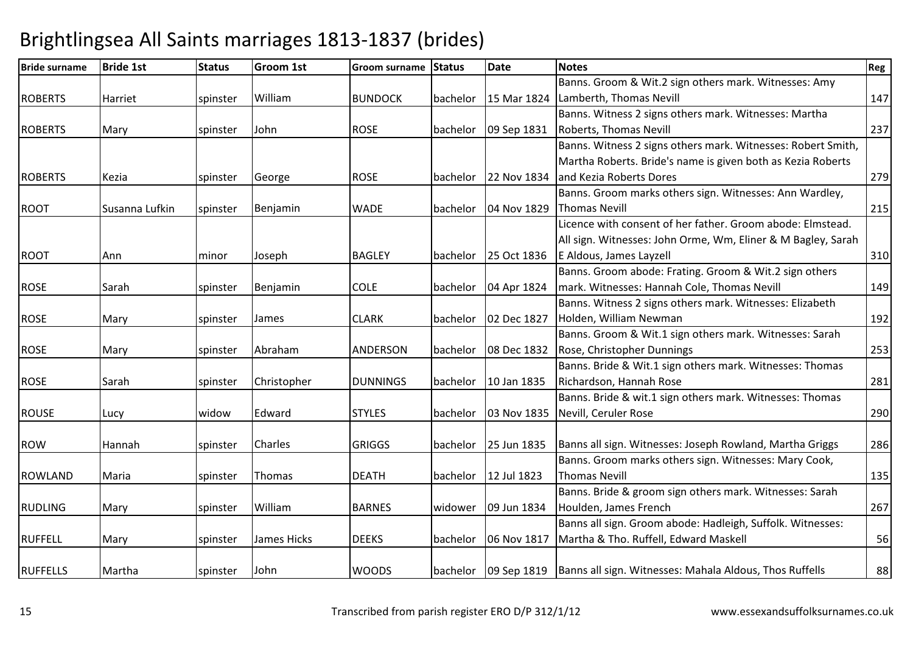| <b>Bride surname</b> | <b>Bride 1st</b> | <b>Status</b> | Groom 1st   | Groom surname   | Status   | <b>Date</b>          | <b>Notes</b>                                                                     | Reg |
|----------------------|------------------|---------------|-------------|-----------------|----------|----------------------|----------------------------------------------------------------------------------|-----|
|                      |                  |               |             |                 |          |                      | Banns. Groom & Wit.2 sign others mark. Witnesses: Amy                            |     |
| <b>ROBERTS</b>       | Harriet          | spinster      | William     | <b>BUNDOCK</b>  | bachelor | 15 Mar 1824          | Lamberth, Thomas Nevill                                                          | 147 |
|                      |                  |               |             |                 |          |                      | Banns. Witness 2 signs others mark. Witnesses: Martha                            |     |
| <b>ROBERTS</b>       | Mary             | spinster      | John        | <b>ROSE</b>     | bachelor | 09 Sep 1831          | Roberts, Thomas Nevill                                                           | 237 |
|                      |                  |               |             |                 |          |                      | Banns. Witness 2 signs others mark. Witnesses: Robert Smith,                     |     |
|                      |                  |               |             |                 |          |                      | Martha Roberts. Bride's name is given both as Kezia Roberts                      |     |
| <b>ROBERTS</b>       | Kezia            | spinster      | George      | <b>ROSE</b>     |          | bachelor 22 Nov 1834 | and Kezia Roberts Dores                                                          | 279 |
|                      |                  |               |             |                 |          |                      | Banns. Groom marks others sign. Witnesses: Ann Wardley,                          |     |
| <b>ROOT</b>          | Susanna Lufkin   | spinster      | Benjamin    | <b>WADE</b>     | bachelor | 04 Nov 1829          | <b>Thomas Nevill</b>                                                             | 215 |
|                      |                  |               |             |                 |          |                      | Licence with consent of her father. Groom abode: Elmstead.                       |     |
|                      |                  |               |             |                 |          |                      | All sign. Witnesses: John Orme, Wm, Eliner & M Bagley, Sarah                     |     |
| <b>ROOT</b>          | Ann              | minor         | Joseph      | <b>BAGLEY</b>   | bachelor | 25 Oct 1836          | E Aldous, James Layzell                                                          | 310 |
|                      |                  |               |             |                 |          |                      | Banns. Groom abode: Frating. Groom & Wit.2 sign others                           |     |
| <b>ROSE</b>          | Sarah            | spinster      | Benjamin    | <b>COLE</b>     | bachelor | 04 Apr 1824          | mark. Witnesses: Hannah Cole, Thomas Nevill                                      | 149 |
|                      |                  |               |             |                 |          |                      | Banns. Witness 2 signs others mark. Witnesses: Elizabeth                         |     |
| <b>ROSE</b>          | Mary             | spinster      | James       | <b>CLARK</b>    |          | bachelor 02 Dec 1827 | Holden, William Newman                                                           | 192 |
|                      |                  |               |             |                 |          |                      | Banns. Groom & Wit.1 sign others mark. Witnesses: Sarah                          |     |
| <b>ROSE</b>          | Mary             | spinster      | Abraham     | <b>ANDERSON</b> | bachelor | 08 Dec 1832          | Rose, Christopher Dunnings                                                       | 253 |
|                      |                  |               |             |                 |          |                      | Banns. Bride & Wit.1 sign others mark. Witnesses: Thomas                         |     |
| <b>ROSE</b>          | Sarah            | spinster      | Christopher | <b>DUNNINGS</b> | bachelor | 10 Jan 1835          | Richardson, Hannah Rose                                                          | 281 |
|                      |                  |               |             |                 |          |                      | Banns. Bride & wit.1 sign others mark. Witnesses: Thomas                         |     |
| <b>ROUSE</b>         | Lucy             | widow         | Edward      | <b>STYLES</b>   | bachelor | 03 Nov 1835          | Nevill, Ceruler Rose                                                             | 290 |
|                      |                  |               |             |                 |          |                      |                                                                                  |     |
| <b>ROW</b>           | Hannah           | spinster      | Charles     | <b>GRIGGS</b>   |          | bachelor 25 Jun 1835 | Banns all sign. Witnesses: Joseph Rowland, Martha Griggs                         | 286 |
|                      |                  |               |             |                 |          |                      | Banns. Groom marks others sign. Witnesses: Mary Cook,                            |     |
| <b>ROWLAND</b>       | Maria            | spinster      | Thomas      | <b>DEATH</b>    | bachelor | 12 Jul 1823          | <b>Thomas Nevill</b>                                                             | 135 |
|                      |                  |               |             |                 |          |                      | Banns. Bride & groom sign others mark. Witnesses: Sarah                          |     |
| <b>RUDLING</b>       | Mary             | spinster      | William     | <b>BARNES</b>   | widower  | 09 Jun 1834          | Houlden, James French                                                            | 267 |
|                      |                  |               |             |                 |          |                      | Banns all sign. Groom abode: Hadleigh, Suffolk. Witnesses:                       |     |
| <b>RUFFELL</b>       | Mary             | spinster      | James Hicks | <b>DEEKS</b>    | bachelor | 06 Nov 1817          | Martha & Tho. Ruffell, Edward Maskell                                            | 56  |
|                      |                  |               |             |                 |          |                      |                                                                                  |     |
| <b>RUFFELLS</b>      | Martha           | spinster      | John        | <b>WOODS</b>    |          |                      | bachelor   09 Sep 1819   Banns all sign. Witnesses: Mahala Aldous, Thos Ruffells | 88  |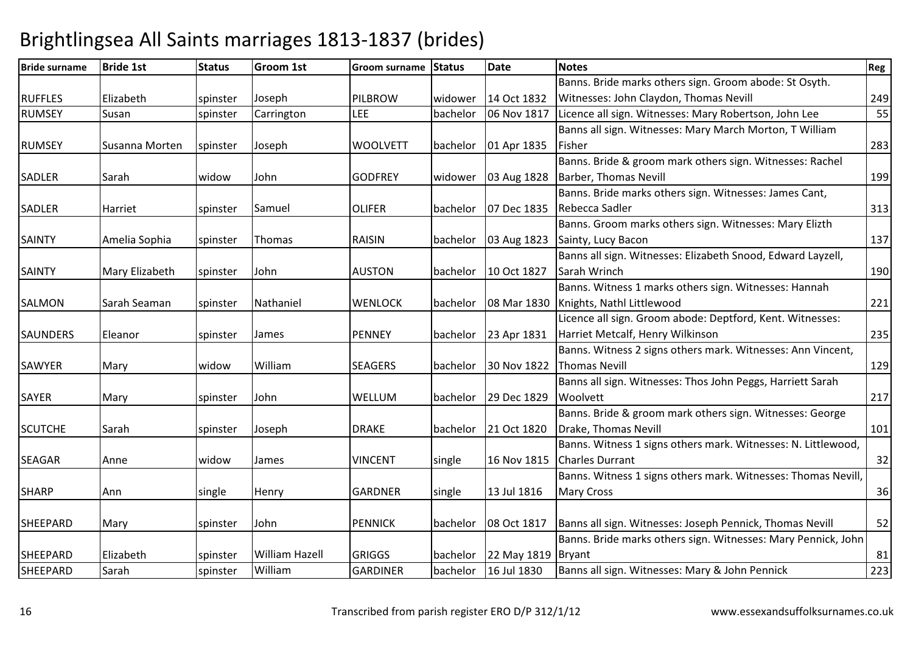### Bride surname Bride 1st Status Groom 1st Groom surname Status Datee Notes Reg RUFFLES Elizabeth spinster JosephPILBROW widower 14 Oct 1832<br>LEE bachelor 06 Nov 1817 06 Nov 1817 Banns. Bride marks others sign. Groom abode: St Osyth. Witnesses: John Claydon, Thomas Nevill 24955 RUMSEY Susanspinster Carrington LEE bachelor 06 Nov 1817 Licence all sign. Witnesses: Mary Robertson, John Lee RUMSEY Susanna Morten Spinster JosephWOOLVETT | bachelor | 01 Apr 1835 Banns all sign. Witnesses: Mary March Morton, T William **Fisher** r 283 SADLER Sarah widow John GODFREY widower 03 Aug 1828 Banns. Bride & groom mark others sign. Witnesses: Rachel Barber, Thomas Nevill199 SADLER Harriet spinster Samuel OLIFER bachelor 07 Dec 1835Banns. Bride marks others sign. Witnesses: James Cant, Rebecca Sadler<u>and 2013</u> and 2013 and 2013 and 2013 and 2013 and 2013 and 2013 and 2013 and 2013 and 2013 and 2013 and 2013 and 2013 and 2013 and 2013 and 2013 and 2013 and 2013 and 2013 and 2013 and 2013 and 2013 and 2013 and 2013 and SAINTY | Amelia Sophia | spinster ThomasRAISIN | bachelor | 03 Aug 1823 Banns. Groom marks others sign. Witnesses: Mary Elizth Sainty, Lucy Baconn 137 SAINTY Mary Elizabeth Spinster John AUSTON bachelor 10 Oct 1827Banns all sign. Witnesses: Elizabeth Snood, Edward Layzell, Sarah Wrinch <sup>190</sup>SALMON Sarah Seaman Ispinster Nathaniel WENLOCK bachelor 08 Mar 1830Banns. Witness 1 marks others sign. Witnesses: Hannah Knights, Nathl Littlewoodd 221 SAUNDERS Eleanor spinster JamesPENNEY | bachelor | 23 Apr 1831 Licence all sign. Groom abode: Deptford, Kent. Witnesses: Harriet Metcalf, Henry Wilkinsonn 235 SAWYER Mary widow WilliamSEAGERS bachelor 30 Nov 1822 Banns. Witness 2 signs others mark. Witnesses: Ann Vincent, **Thomas Nevill** 129 SAYER Mary spinster JohnWELLUM bachelor 29 Dec 1829 Banns all sign. Witnesses: Thos John Peggs, Harriett Sarah **Woolvett** t and  $\sim$  217 SCUTCHE Sarah Spinster JosephDRAKE bachelor 21 Oct 1820 Banns. Bride & groom mark others sign. Witnesses: George Drake, Thomas Nevill 101SEAGAR | Anne | widow James | VINCENT | single | 16 Nov 1815 Banns. Witness 1 signs others mark. Witnesses: N. Littlewood, Charles Durrantt 32 SHARP Ann single e Henry GARDNER single 13 Jul 1816 Banns. Witness 1 signs others mark. Witnesses: Thomas Nevill, Mary Cross $\sim$  36 SHEEPARD Mary spinster JohnPENNICK | bachelor | 08 Oct 1817 Banns all sign. Witnesses: Joseph Pennick, Thomas Nevill <sup>52</sup> SHEEPARD Elizabeth spinster William Hazell | GRIGGS | bachelor Banns. Bride marks others sign. Witnesses: Mary Pennick, John  $22$  May 1819 Bryant t 81 223 SHEEPARDD Sarah Spinster William GARDINER bachelor 16 Jul 1830 Banns all sign. Witnesses: Mary & John Pennick <sup>223</sup>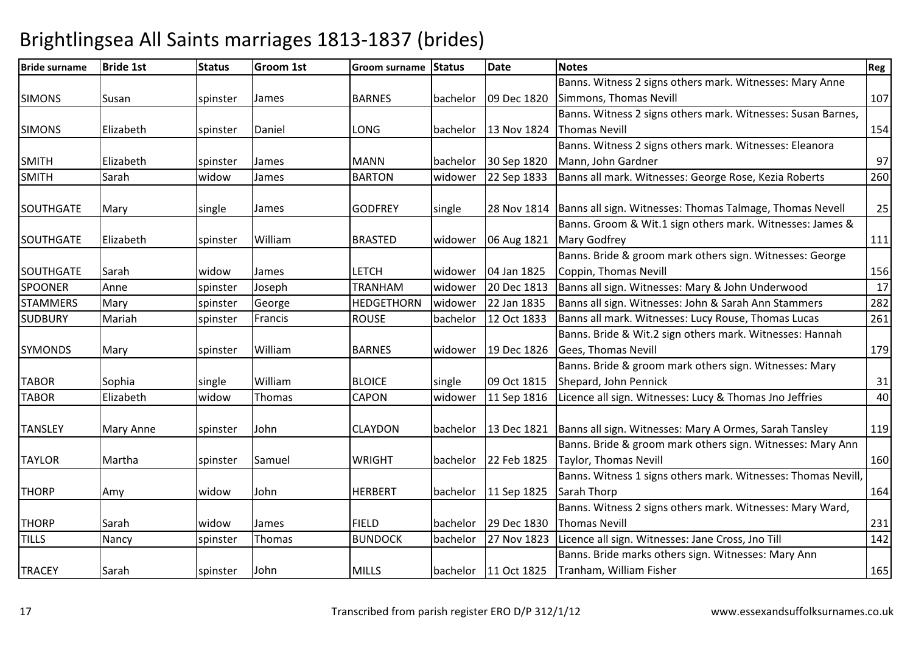### Bride surname Bride 1st Status Groom 1st Groom surname Status Datee Notes Reg SIMONS Susan spinster James BARNES bachelor 09 Dec 1820Banns. Witness 2 signs others mark. Witnesses: Mary Anne Simmons, Thomas Nevill 107SIMONS Elizabeth spinster Daniel | LONG | bachelor | 13 Nov 1824 Banns. Witness 2 signs others mark. Witnesses: Susan Barnes, Thomas Nevill 154SMITH Elizabeth spinster JamesMANN bachelor 30 Sep 1820 22 Sep 1833 Banns. Witness 2 signs others mark. Witnesses: Eleanora Mann, John Gardnerr 97 260 SMITHH Sarah <mark>widow</mark> | widow | James | BARTON | widower | 22 Sep 1833 | Banns all mark. Witnesses: George Rose, Kezia Roberts SOUTHGATE Mary single e James GODFREY single 28 Nov 1814 Banns all sign. Witnesses: Thomas Talmage, Thomas Nevell 25 SOUTHGATE Elizabeth spinster William BRASTED widower 06 Aug 1821 Banns. Groom & Wit.1 sign others mark. Witnesses: James & Mary Godfreyy 1111 SOUTHGATE Sarah widow James LETCH widower 04 Jan 1825 Banns. Bride & groom mark others sign. Witnesses: George Coppin, Thomas Nevill 15617 SPOONERR Anne spinster Joseph TRANHAM TRANHAM Widower 20 Dec 1813 Banns all sign. Witnesses: Mary & John Underwood 17<br>HEDGETHORN Widower 22 Jan 1835 Banns all sign. Witnesses: John & Sarah Ann Stammers 282 **STAMMERS** Mary spinster George HEDGETHORNwidower 22 Jan 1835 Banns all sign. Witnesses: John & Sarah Ann Stammers 282<br>
bachelor 12 Oct 1833 Banns all mark. Witnesses: Lucy Rouse, Thomas Lucas 261 **SUDBURY**  Mariahspinster | Francis | ROUSE | bachelor | 12 Oct 1833 | Banns all mark. Witnesses: Lucy Rouse, Thomas Lucas SYMONDS Mary spinster WilliamBARNES Widower 19 Dec 1826 Banns. Bride & Wit.2 sign others mark. Witnesses: Hannah Gees, Thomas Nevill 179TABOR Sophia single WilliamWilliam BLOICE single 09 Oct 1815<br>Thomas CAPON widower 11 Sep 1816 Banns. Bride & groom mark others sign. Witnesses: Mary Shepard, John Pennickk 31  $\overline{40}$ TABOR Elizabeth widowLicence all sign. Witnesses: Lucy & Thomas Jno Jeffries TANSLEY | Mary Anne | spinster Johnn 119 CLAYDON bachelor 13 Dec 1821 Banns all sign. Witnesses: Mary A Ormes, Sarah Tansley 119 TAYLOR | Martha | spinster Samuel | WRIGHT | bachelor 22 Feb 1825 Banns. Bride & groom mark others sign. Witnesses: Mary Ann Taylor, Thomas Nevill160 THORP Amy widow John HERBERT bachelor 11 Sep 1825 Banns. Witness 1 signs others mark. Witnesses: Thomas Nevill, Sarah Thorpp 164 THORP ISarah Iwidow w James FIELD bachelor 29 Dec 1830<br>And Line Line and Line and Line Line and Line and Line and Line and Line and Line and Line and Line and Line a Banns. Witness 2 signs others mark. Witnesses: Mary Ward, Thomas Nevill 231142 TILLSS Nancy Spinster Thomas BUNDOCK bachelor 27 Nov 1823 Licence all sign. Witnesses: Jane Cross, Jno Till <sup>142</sup> TRACEY ISarah Ispinster JohnMILLS **bachelor** 11 Oct 1825 Banns. Bride marks others sign. Witnesses: Mary Ann Tranham, William Fisherr 165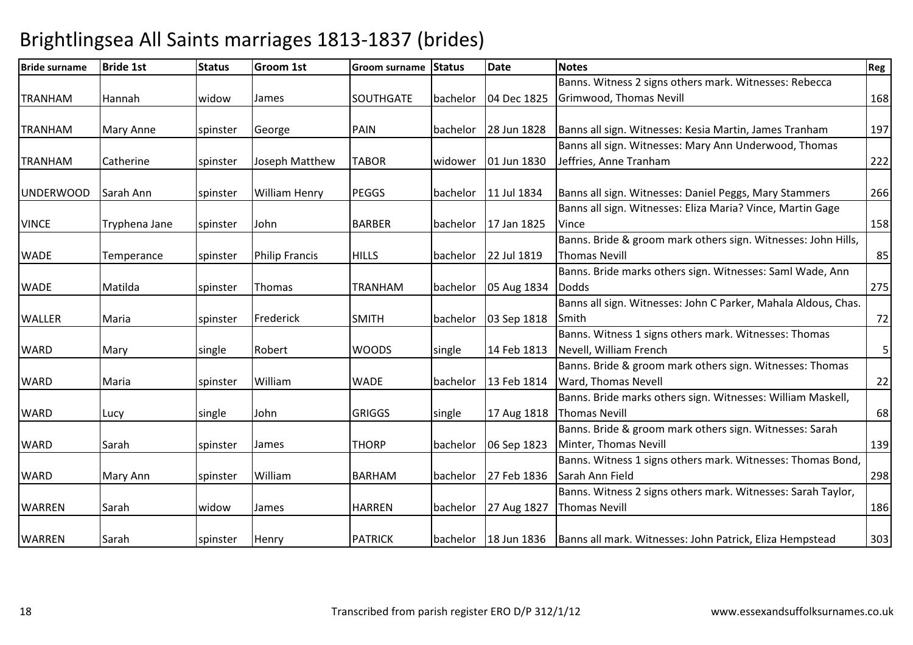| <b>Bride surname</b> | <b>Bride 1st</b> | <b>Status</b> | Groom 1st             | <b>Groom surname</b> | <b>Status</b> | <b>Date</b> | <b>Notes</b>                                                                      | Reg |
|----------------------|------------------|---------------|-----------------------|----------------------|---------------|-------------|-----------------------------------------------------------------------------------|-----|
|                      |                  |               |                       |                      |               |             | Banns. Witness 2 signs others mark. Witnesses: Rebecca                            |     |
| TRANHAM              | Hannah           | widow         | James                 | <b>SOUTHGATE</b>     | bachelor      | 04 Dec 1825 | Grimwood, Thomas Nevill                                                           | 168 |
|                      |                  |               |                       |                      |               |             |                                                                                   |     |
| TRANHAM              | Mary Anne        | spinster      | George                | PAIN                 | bachelor      | 28 Jun 1828 | Banns all sign. Witnesses: Kesia Martin, James Tranham                            | 197 |
|                      |                  |               |                       |                      |               |             | Banns all sign. Witnesses: Mary Ann Underwood, Thomas                             |     |
| TRANHAM              | Catherine        | spinster      | Joseph Matthew        | <b>TABOR</b>         | widower       | 01 Jun 1830 | Jeffries, Anne Tranham                                                            | 222 |
|                      |                  |               |                       |                      |               |             |                                                                                   |     |
| <b>UNDERWOOD</b>     | Sarah Ann        | spinster      | <b>William Henry</b>  | <b>PEGGS</b>         | bachelor      | 11 Jul 1834 | Banns all sign. Witnesses: Daniel Peggs, Mary Stammers                            | 266 |
|                      |                  |               |                       |                      |               |             | Banns all sign. Witnesses: Eliza Maria? Vince, Martin Gage                        |     |
| <b>VINCE</b>         | Tryphena Jane    | spinster      | John                  | <b>BARBER</b>        | bachelor      | 17 Jan 1825 | Vince                                                                             | 158 |
|                      |                  |               |                       |                      |               |             | Banns. Bride & groom mark others sign. Witnesses: John Hills,                     |     |
| <b>WADE</b>          | Temperance       | spinster      | <b>Philip Francis</b> | <b>HILLS</b>         | bachelor      | 22 Jul 1819 | <b>Thomas Nevill</b>                                                              | 85  |
|                      |                  |               |                       |                      |               |             | Banns. Bride marks others sign. Witnesses: Saml Wade, Ann                         |     |
| <b>WADE</b>          | Matilda          | spinster      | Thomas                | TRANHAM              | bachelor      | 05 Aug 1834 | <b>Dodds</b>                                                                      | 275 |
|                      |                  |               |                       |                      |               |             | Banns all sign. Witnesses: John C Parker, Mahala Aldous, Chas.                    |     |
| <b>WALLER</b>        | Maria            | spinster      | Frederick             | <b>SMITH</b>         | bachelor      | 03 Sep 1818 | Smith                                                                             | 72  |
|                      |                  |               |                       |                      |               |             | Banns. Witness 1 signs others mark. Witnesses: Thomas                             |     |
| <b>WARD</b>          | Mary             | single        | Robert                | <b>WOODS</b>         | single        | 14 Feb 1813 | Nevell, William French                                                            | 5   |
|                      |                  |               |                       |                      |               |             | Banns. Bride & groom mark others sign. Witnesses: Thomas                          |     |
| <b>WARD</b>          | Maria            | spinster      | William               | <b>WADE</b>          | bachelor      | 13 Feb 1814 | Ward, Thomas Nevell                                                               | 22  |
|                      |                  |               |                       |                      |               |             | Banns. Bride marks others sign. Witnesses: William Maskell,                       |     |
| <b>WARD</b>          | Lucy             | single        | John                  | <b>GRIGGS</b>        | single        | 17 Aug 1818 | <b>Thomas Nevill</b>                                                              | 68  |
|                      |                  |               |                       |                      |               |             | Banns. Bride & groom mark others sign. Witnesses: Sarah                           |     |
| <b>WARD</b>          | Sarah            | spinster      | James                 | <b>THORP</b>         | bachelor      | 06 Sep 1823 | Minter, Thomas Nevill                                                             | 139 |
|                      |                  |               |                       |                      |               |             | Banns. Witness 1 signs others mark. Witnesses: Thomas Bond,                       |     |
| <b>WARD</b>          | Mary Ann         | spinster      | William               | <b>BARHAM</b>        | bachelor      | 27 Feb 1836 | Sarah Ann Field                                                                   | 298 |
|                      |                  |               |                       |                      |               |             | Banns. Witness 2 signs others mark. Witnesses: Sarah Taylor,                      |     |
| <b>WARREN</b>        | Sarah            | widow         | James                 | <b>HARREN</b>        | bachelor      | 27 Aug 1827 | <b>Thomas Nevill</b>                                                              | 186 |
|                      |                  |               |                       |                      |               |             |                                                                                   |     |
| <b>WARREN</b>        | Sarah            | spinster      | Henry                 | <b>PATRICK</b>       |               |             | bachelor   18 Jun 1836   Banns all mark. Witnesses: John Patrick, Eliza Hempstead | 303 |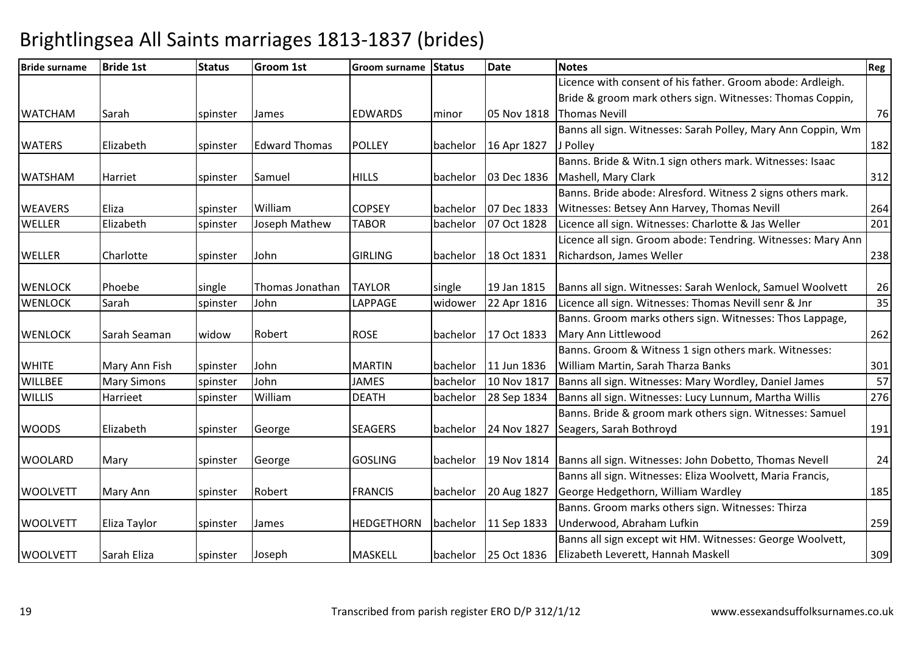| <b>Bride surname</b> | <b>Bride 1st</b>   | <b>Status</b> | <b>Groom 1st</b>     | <b>Groom surname</b> | <b>Status</b> | <b>Date</b> | <b>Notes</b>                                                         | Reg |
|----------------------|--------------------|---------------|----------------------|----------------------|---------------|-------------|----------------------------------------------------------------------|-----|
|                      |                    |               |                      |                      |               |             | Licence with consent of his father. Groom abode: Ardleigh.           |     |
|                      |                    |               |                      |                      |               |             | Bride & groom mark others sign. Witnesses: Thomas Coppin,            |     |
| <b>WATCHAM</b>       | Sarah              | spinster      | James                | <b>EDWARDS</b>       | minor         | 05 Nov 1818 | <b>Thomas Nevill</b>                                                 | 76  |
|                      |                    |               |                      |                      |               |             | Banns all sign. Witnesses: Sarah Polley, Mary Ann Coppin, Wm         |     |
| <b>WATERS</b>        | Elizabeth          | spinster      | <b>Edward Thomas</b> | <b>POLLEY</b>        | bachelor      | 16 Apr 1827 | J Polley                                                             | 182 |
|                      |                    |               |                      |                      |               |             | Banns. Bride & Witn.1 sign others mark. Witnesses: Isaac             |     |
| <b>WATSHAM</b>       | Harriet            | spinster      | Samuel               | <b>HILLS</b>         | bachelor      | 03 Dec 1836 | Mashell, Mary Clark                                                  | 312 |
|                      |                    |               |                      |                      |               |             | Banns. Bride abode: Alresford. Witness 2 signs others mark.          |     |
| <b>WEAVERS</b>       | Eliza              | spinster      | William              | <b>COPSEY</b>        | bachelor      | 07 Dec 1833 | Witnesses: Betsey Ann Harvey, Thomas Nevill                          | 264 |
| <b>WELLER</b>        | Elizabeth          | spinster      | Joseph Mathew        | <b>TABOR</b>         | bachelor      | 07 Oct 1828 | Licence all sign. Witnesses: Charlotte & Jas Weller                  | 201 |
|                      |                    |               |                      |                      |               |             | Licence all sign. Groom abode: Tendring. Witnesses: Mary Ann         |     |
| <b>WELLER</b>        | Charlotte          | spinster      | John                 | <b>GIRLING</b>       | bachelor      | 18 Oct 1831 | Richardson, James Weller                                             | 238 |
|                      |                    |               |                      |                      |               |             |                                                                      |     |
| <b>WENLOCK</b>       | Phoebe             | single        | Thomas Jonathan      | <b>TAYLOR</b>        | single        | 19 Jan 1815 | Banns all sign. Witnesses: Sarah Wenlock, Samuel Woolvett            | 26  |
| <b>WENLOCK</b>       | Sarah              | spinster      | John                 | LAPPAGE              | widower       | 22 Apr 1816 | Licence all sign. Witnesses: Thomas Nevill senr & Jnr                | 35  |
|                      |                    |               |                      |                      |               |             | Banns. Groom marks others sign. Witnesses: Thos Lappage,             |     |
| <b>WENLOCK</b>       | Sarah Seaman       | widow         | Robert               | <b>ROSE</b>          | bachelor      | 17 Oct 1833 | Mary Ann Littlewood                                                  | 262 |
|                      |                    |               |                      |                      |               |             | Banns. Groom & Witness 1 sign others mark. Witnesses:                |     |
| <b>WHITE</b>         | Mary Ann Fish      | spinster      | John                 | <b>MARTIN</b>        | bachelor      | 11 Jun 1836 | William Martin, Sarah Tharza Banks                                   | 301 |
| <b>WILLBEE</b>       | <b>Mary Simons</b> | spinster      | John                 | <b>JAMES</b>         | bachelor      | 10 Nov 1817 | Banns all sign. Witnesses: Mary Wordley, Daniel James                | 57  |
| <b>WILLIS</b>        | Harrieet           | spinster      | William              | <b>DEATH</b>         | bachelor      | 28 Sep 1834 | Banns all sign. Witnesses: Lucy Lunnum, Martha Willis                | 276 |
|                      |                    |               |                      |                      |               |             | Banns. Bride & groom mark others sign. Witnesses: Samuel             |     |
| <b>WOODS</b>         | Elizabeth          | spinster      | George               | <b>SEAGERS</b>       | bachelor      | 24 Nov 1827 | Seagers, Sarah Bothroyd                                              | 191 |
|                      |                    |               |                      |                      |               |             |                                                                      |     |
| <b>WOOLARD</b>       | Mary               | spinster      | George               | <b>GOSLING</b>       | bachelor      |             | 19 Nov 1814   Banns all sign. Witnesses: John Dobetto, Thomas Nevell | 24  |
|                      |                    |               |                      |                      |               |             | Banns all sign. Witnesses: Eliza Woolvett, Maria Francis,            |     |
| <b>WOOLVETT</b>      | Mary Ann           | spinster      | Robert               | <b>FRANCIS</b>       | bachelor      | 20 Aug 1827 | George Hedgethorn, William Wardley                                   | 185 |
|                      |                    |               |                      |                      |               |             | Banns. Groom marks others sign. Witnesses: Thirza                    |     |
| <b>WOOLVETT</b>      | Eliza Taylor       | spinster      | James                | <b>HEDGETHORN</b>    | bachelor      | 11 Sep 1833 | Underwood, Abraham Lufkin                                            | 259 |
|                      |                    |               |                      |                      |               |             | Banns all sign except wit HM. Witnesses: George Woolvett,            |     |
| <b>WOOLVETT</b>      | Sarah Eliza        | spinster      | Joseph               | <b>MASKELL</b>       |               |             | bachelor 25 Oct 1836   Elizabeth Leverett, Hannah Maskell            | 309 |